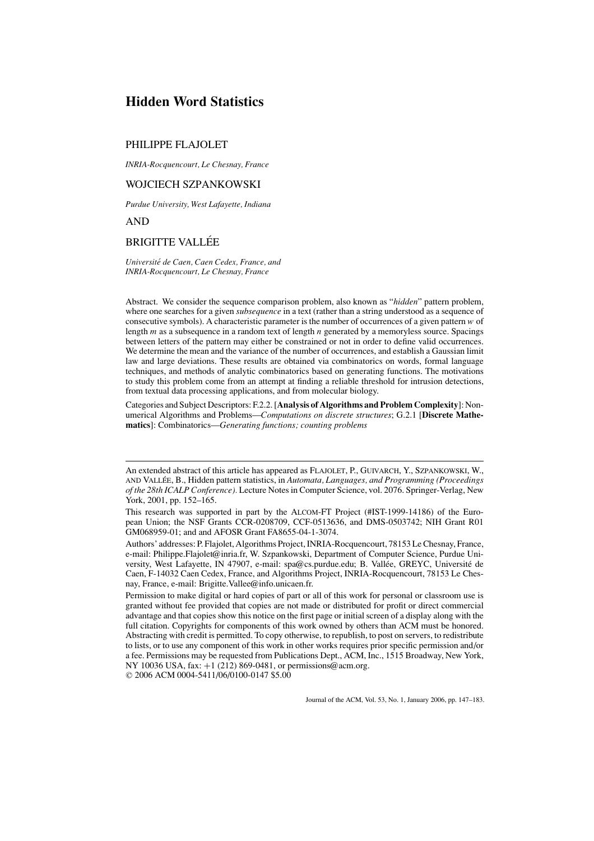# **Hidden Word Statistics**

## PHILIPPE FLAJOLET

*INRIA-Rocquencourt, Le Chesnay, France*

#### WOJCIECH SZPANKOWSKI

*Purdue University, West Lafayette, Indiana*

AND

## BRIGITTE VALLEE´

*Universite de Caen, Caen Cedex, France, and ´ INRIA-Rocquencourt, Le Chesnay, France*

Abstract. We consider the sequence comparison problem, also known as "*hidden*" pattern problem, where one searches for a given *subsequence* in a text (rather than a string understood as a sequence of consecutive symbols). A characteristic parameter is the number of occurrences of a given pattern  $w$  of length *m* as a subsequence in a random text of length *n* generated by a memoryless source. Spacings between letters of the pattern may either be constrained or not in order to define valid occurrences. We determine the mean and the variance of the number of occurrences, and establish a Gaussian limit law and large deviations. These results are obtained via combinatorics on words, formal language techniques, and methods of analytic combinatorics based on generating functions. The motivations to study this problem come from an attempt at finding a reliable threshold for intrusion detections, from textual data processing applications, and from molecular biology.

Categories and Subject Descriptors: F.2.2. [**Analysis of Algorithms and Problem Complexity**]: Nonumerical Algorithms and Problems—*Computations on discrete structures*; G.2.1 [**Discrete Mathematics**]: Combinatorics—*Generating functions; counting problems*

© 2006 ACM 0004-5411/06/0100-0147 \$5.00

Journal of the ACM, Vol. 53, No. 1, January 2006, pp. 147–183.

An extended abstract of this article has appeared as FLAJOLET, P., GUIVARCH, Y., SZPANKOWSKI, W., AND VALLÉE, B., Hidden pattern statistics, in *Automata, Languages, and Programming (Proceedings of the 28th ICALP Conference).* Lecture Notes in Computer Science, vol. 2076. Springer-Verlag, New York, 2001, pp. 152–165.

This research was supported in part by the ALCOM-FT Project (#IST-1999-14186) of the European Union; the NSF Grants CCR-0208709, CCF-0513636, and DMS-0503742; NIH Grant R01 GM068959-01; and and AFOSR Grant FA8655-04-1-3074.

Authors' addresses: P. Flajolet, Algorithms Project, INRIA-Rocquencourt, 78153 Le Chesnay, France, e-mail: Philippe.Flajolet@inria.fr, W. Szpankowski, Department of Computer Science, Purdue University, West Lafayette, IN 47907, e-mail: spa@cs.purdue.edu; B. Vallée, GREYC, Université de Caen, F-14032 Caen Cedex, France, and Algorithms Project, INRIA-Rocquencourt, 78153 Le Chesnay, France, e-mail: Brigitte.Vallee@info.unicaen.fr.

Permission to make digital or hard copies of part or all of this work for personal or classroom use is granted without fee provided that copies are not made or distributed for profit or direct commercial advantage and that copies show this notice on the first page or initial screen of a display along with the full citation. Copyrights for components of this work owned by others than ACM must be honored. Abstracting with credit is permitted. To copy otherwise, to republish, to post on servers, to redistribute to lists, or to use any component of this work in other works requires prior specific permission and/or a fee. Permissions may be requested from Publications Dept., ACM, Inc., 1515 Broadway, New York, NY 10036 USA, fax: +1 (212) 869-0481, or permissions@acm.org.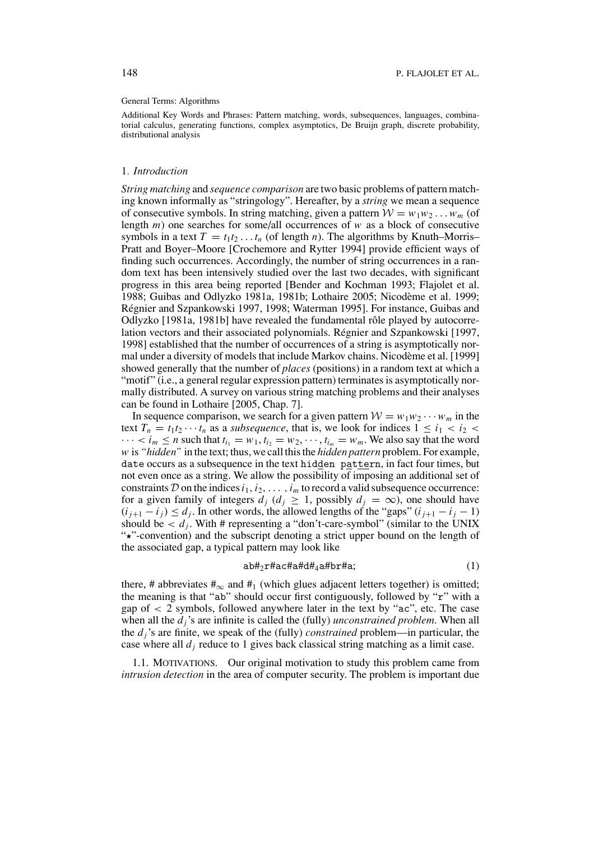#### General Terms: Algorithms

Additional Key Words and Phrases: Pattern matching, words, subsequences, languages, combinatorial calculus, generating functions, complex asymptotics, De Bruijn graph, discrete probability, distributional analysis

### 1*. Introduction*

*String matching* and *sequence comparison* are two basic problems of pattern matching known informally as "stringology". Hereafter, by a *string* we mean a sequence of consecutive symbols. In string matching, given a pattern  $W = w_1w_2 \dots w_m$  (of length *m*) one searches for some/all occurrences of *w* as a block of consecutive symbols in a text  $T = t_1 t_2 \dots t_n$  (of length *n*). The algorithms by Knuth–Morris– Pratt and Boyer–Moore [Crochemore and Rytter 1994] provide efficient ways of finding such occurrences. Accordingly, the number of string occurrences in a random text has been intensively studied over the last two decades, with significant progress in this area being reported [Bender and Kochman 1993; Flajolet et al. 1988; Guibas and Odlyzko 1981a, 1981b; Lothaire 2005; Nicodème et al. 1999; R´egnier and Szpankowski 1997, 1998; Waterman 1995]. For instance, Guibas and Odlyzko [1981a, 1981b] have revealed the fundamental rôle played by autocorrelation vectors and their associated polynomials. Régnier and Szpankowski [1997, 1998] established that the number of occurrences of a string is asymptotically normal under a diversity of models that include Markov chains. Nicodème et al. [1999] showed generally that the number of *places* (positions) in a random text at which a "motif" (i.e., a general regular expression pattern) terminates is asymptotically normally distributed. A survey on various string matching problems and their analyses can be found in Lothaire [2005, Chap. 7].

In sequence comparison, we search for a given pattern  $W = w_1 w_2 \cdots w_m$  in the text  $T_n = t_1 t_2 \cdots t_n$  as a *subsequence*, that is, we look for indices  $1 \le i_1 < i_2$  $\cdots < i_m \le n$  such that  $t_{i_1} = w_1, t_{i_2} = w_2, \dots, t_{i_m} = w_m$ . We also say that the word *w* is *"hidden"* in the text; thus, we call this the *hidden pattern* problem. For example, date occurs as a subsequence in the text hidden pattern, in fact four times, but not even once as a string. We allow the possibility of imposing an additional set of constraints D on the indices  $i_1, i_2, \ldots, i_m$  to record a valid subsequence occurrence: for a given family of integers  $d_i$  ( $d_j \ge 1$ , possibly  $d_j = \infty$ ), one should have  $(i_{i+1} - i_i) \leq d_i$ . In other words, the allowed lengths of the "gaps"  $(i_{i+1} - i_i - 1)$ should be  $d_j$ . With # representing a "don't-care-symbol" (similar to the UNIX "-"-convention) and the subscript denoting a strict upper bound on the length of the associated gap, a typical pattern may look like

$$
ab\#_2r\#ac\#a\#d\#_4a\#br\#a;
$$
 (1)

there, # abbreviates  $\#_{\infty}$  and  $\#_1$  (which glues adjacent letters together) is omitted; the meaning is that "ab" should occur first contiguously, followed by "r" with a gap of  $\langle 2 \rangle$  symbols, followed anywhere later in the text by "ac", etc. The case when all the  $d_i$ 's are infinite is called the (fully) *unconstrained problem*. When all the *dj*'s are finite, we speak of the (fully) *constrained* problem—in particular, the case where all  $d_i$  reduce to 1 gives back classical string matching as a limit case.

1.1. MOTIVATIONS. Our original motivation to study this problem came from *intrusion detection* in the area of computer security. The problem is important due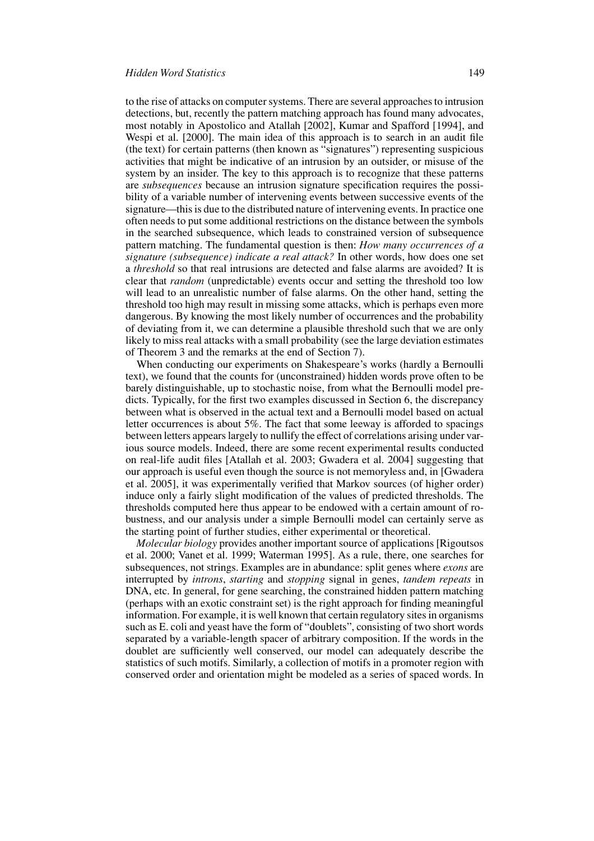to the rise of attacks on computer systems. There are several approaches to intrusion detections, but, recently the pattern matching approach has found many advocates, most notably in Apostolico and Atallah [2002], Kumar and Spafford [1994], and Wespi et al. [2000]. The main idea of this approach is to search in an audit file (the text) for certain patterns (then known as "signatures") representing suspicious activities that might be indicative of an intrusion by an outsider, or misuse of the system by an insider. The key to this approach is to recognize that these patterns are *subsequences* because an intrusion signature specification requires the possibility of a variable number of intervening events between successive events of the signature—this is due to the distributed nature of intervening events. In practice one often needs to put some additional restrictions on the distance between the symbols in the searched subsequence, which leads to constrained version of subsequence pattern matching. The fundamental question is then: *How many occurrences of a signature (subsequence) indicate a real attack?* In other words, how does one set a *threshold* so that real intrusions are detected and false alarms are avoided? It is clear that *random* (unpredictable) events occur and setting the threshold too low will lead to an unrealistic number of false alarms. On the other hand, setting the threshold too high may result in missing some attacks, which is perhaps even more dangerous. By knowing the most likely number of occurrences and the probability of deviating from it, we can determine a plausible threshold such that we are only likely to miss real attacks with a small probability (see the large deviation estimates of Theorem 3 and the remarks at the end of Section 7).

When conducting our experiments on Shakespeare's works (hardly a Bernoulli text), we found that the counts for (unconstrained) hidden words prove often to be barely distinguishable, up to stochastic noise, from what the Bernoulli model predicts. Typically, for the first two examples discussed in Section 6, the discrepancy between what is observed in the actual text and a Bernoulli model based on actual letter occurrences is about 5%. The fact that some leeway is afforded to spacings between letters appears largely to nullify the effect of correlations arising under various source models. Indeed, there are some recent experimental results conducted on real-life audit files [Atallah et al. 2003; Gwadera et al. 2004] suggesting that our approach is useful even though the source is not memoryless and, in [Gwadera et al. 2005], it was experimentally verified that Markov sources (of higher order) induce only a fairly slight modification of the values of predicted thresholds. The thresholds computed here thus appear to be endowed with a certain amount of robustness, and our analysis under a simple Bernoulli model can certainly serve as the starting point of further studies, either experimental or theoretical.

*Molecular biology* provides another important source of applications [Rigoutsos et al. 2000; Vanet et al. 1999; Waterman 1995]. As a rule, there, one searches for subsequences, not strings. Examples are in abundance: split genes where *exons* are interrupted by *introns*, *starting* and *stopping* signal in genes, *tandem repeats* in DNA, etc. In general, for gene searching, the constrained hidden pattern matching (perhaps with an exotic constraint set) is the right approach for finding meaningful information. For example, it is well known that certain regulatory sites in organisms such as E. coli and yeast have the form of "doublets", consisting of two short words separated by a variable-length spacer of arbitrary composition. If the words in the doublet are sufficiently well conserved, our model can adequately describe the statistics of such motifs. Similarly, a collection of motifs in a promoter region with conserved order and orientation might be modeled as a series of spaced words. In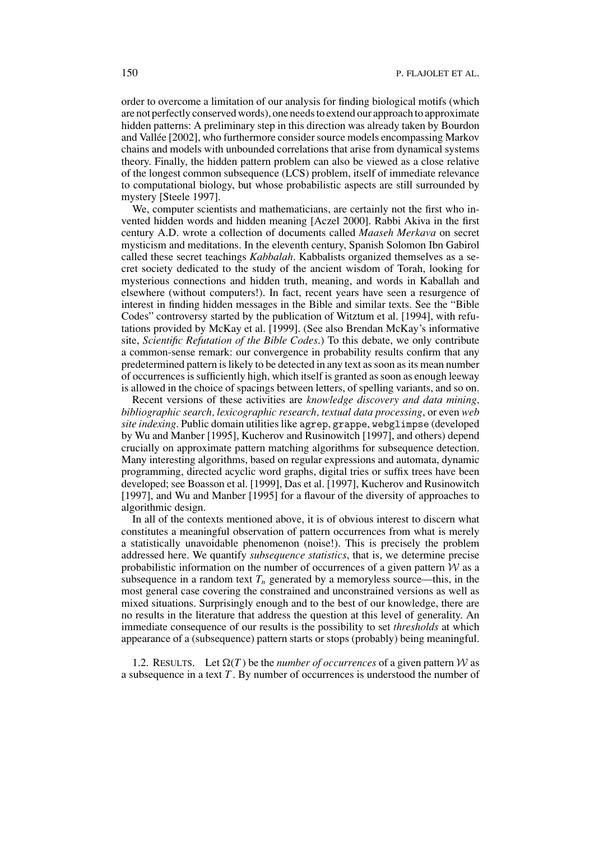order to overcome a limitation of our analysis for finding biological motifs (which are not perfectly conserved words), one needs to extend our approach to approximate hidden patterns: A preliminary step in this direction was already taken by Bourdon and Vallée [2002], who furthermore consider source models encompassing Markov chains and models with unbounded correlations that arise from dynamical systems theory. Finally, the hidden pattern problem can also be viewed as a close relative of the longest common subsequence (LCS) problem, itself of immediate relevance to computational biology, but whose probabilistic aspects are still surrounded by mystery [Steele 1997].

We, computer scientists and mathematicians, are certainly not the first who invented hidden words and hidden meaning [Aczel 2000]. Rabbi Akiva in the first century A.D. wrote a collection of documents called *Maaseh Merkava* on secret mysticism and meditations. In the eleventh century, Spanish Solomon Ibn Gabirol called these secret teachings *Kabbalah*. Kabbalists organized themselves as a secret society dedicated to the study of the ancient wisdom of Torah, looking for mysterious connections and hidden truth, meaning, and words in Kaballah and elsewhere (without computers!). In fact, recent years have seen a resurgence of interest in finding hidden messages in the Bible and similar texts. See the "Bible Codes" controversy started by the publication of Witztum et al. [1994], with refutations provided by McKay et al. [1999]. (See also Brendan McKay's informative site, *Scientific Refutation of the Bible Codes*.) To this debate, we only contribute a common-sense remark: our convergence in probability results confirm that any predetermined pattern is likely to be detected in any text as soon as its mean number of occurrences is sufficiently high, which itself is granted as soon as enough leeway is allowed in the choice of spacings between letters, of spelling variants, and so on.

Recent versions of these activities are *knowledge discovery and data mining, bibliographic search, lexicographic research, textual data processing*, or even *web site indexing*. Public domain utilities like agrep, grappe, webglimpse (developed by Wu and Manber [1995], Kucherov and Rusinowitch [1997], and others) depend crucially on approximate pattern matching algorithms for subsequence detection. Many interesting algorithms, based on regular expressions and automata, dynamic programming, directed acyclic word graphs, digital tries or suffix trees have been developed; see Boasson et al. [1999], Das et al. [1997], Kucherov and Rusinowitch [1997], and Wu and Manber [1995] for a flavour of the diversity of approaches to algorithmic design.

In all of the contexts mentioned above, it is of obvious interest to discern what constitutes a meaningful observation of pattern occurrences from what is merely a statistically unavoidable phenomenon (noise!). This is precisely the problem addressed here. We quantify *subsequence statistics*, that is, we determine precise probabilistic information on the number of occurrences of a given pattern  $W$  as a subsequence in a random text  $T_n$  generated by a memoryless source—this, in the most general case covering the constrained and unconstrained versions as well as mixed situations. Surprisingly enough and to the best of our knowledge, there are no results in the literature that address the question at this level of generality. An immediate consequence of our results is the possibility to set *thresholds* at which appearance of a (subsequence) pattern starts or stops (probably) being meaningful.

1.2. RESULTS. Let  $\Omega(T)$  be the *number of occurrences* of a given pattern W as a subsequence in a text *T* . By number of occurrences is understood the number of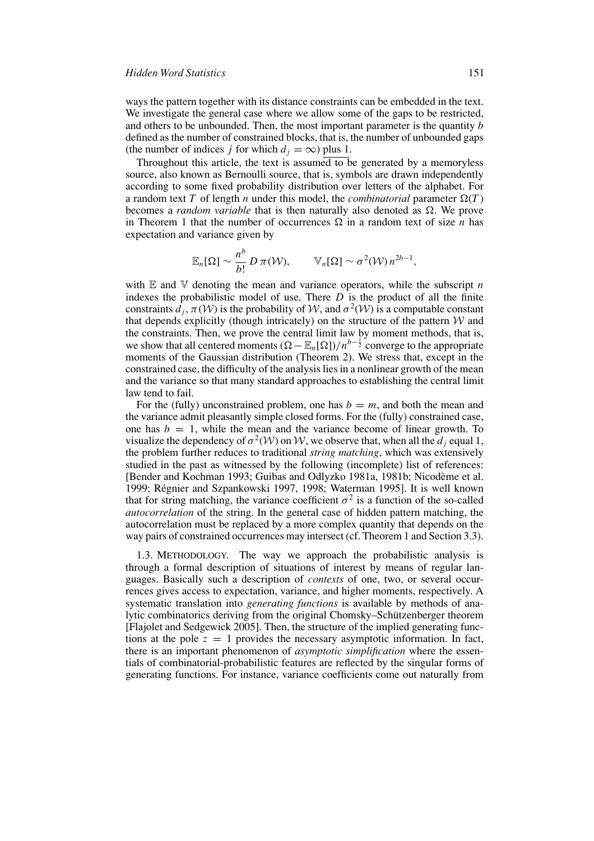ways the pattern together with its distance constraints can be embedded in the text. We investigate the general case where we allow some of the gaps to be restricted, and others to be unbounded. Then, the most important parameter is the quantity *b* defined as the number of constrained blocks, that is, the number of unbounded gaps (the number of indices *j* for which  $d_i = \infty$ ) plus 1.

Throughout this article, the text is assumed to be generated by a memoryless source, also known as Bernoulli source, that is, symbols are drawn independently according to some fixed probability distribution over letters of the alphabet. For a random text *T* of length *n* under this model, the *combinatorial* parameter  $\Omega(T)$ becomes a *random variable* that is then naturally also denoted as  $\Omega$ . We prove in Theorem 1 that the number of occurrences  $\Omega$  in a random text of size *n* has expectation and variance given by

$$
\mathbb{E}_n[\Omega] \sim \frac{n^b}{b!} D \pi(\mathcal{W}), \qquad \mathbb{V}_n[\Omega] \sim \sigma^2(\mathcal{W}) n^{2b-1}
$$

with  $E$  and  $\nabla$  denoting the mean and variance operators, while the subscript *n* indexes the probabilistic model of use. There *D* is the product of all the finite constraints  $\overline{d}_i$ ,  $\pi(\mathcal{W})$  is the probability of W, and  $\sigma^2(\mathcal{W})$  is a computable constant that depends explicitly (though intricately) on the structure of the pattern  $W$  and the constraints. Then, we prove the central limit law by moment methods, that is, we show that all centered moments  $(Q - \mathbb{E}_n[\Omega])/n^{b-\frac{1}{2}}$  converge to the appropriate moments of the Gaussian distribution (Theorem 2). We stress that, except in the constrained case, the difficulty of the analysis lies in a nonlinear growth of the mean and the variance so that many standard approaches to establishing the central limit law tend to fail.

For the (fully) unconstrained problem, one has  $b = m$ , and both the mean and the variance admit pleasantly simple closed forms. For the (fully) constrained case, one has  $b = 1$ , while the mean and the variance become of linear growth. To visualize the dependency of  $\sigma^2(V)$  on W, we observe that, when all the  $d_i$  equal 1, the problem further reduces to traditional *string matching*, which was extensively studied in the past as witnessed by the following (incomplete) list of references: [Bender and Kochman 1993; Guibas and Odlyzko 1981a, 1981b; Nicodème et al. 1999; Régnier and Szpankowski 1997, 1998; Waterman 1995]. It is well known that for string matching, the variance coefficient  $\sigma^2$  is a function of the so-called *autocorrelation* of the string. In the general case of hidden pattern matching, the autocorrelation must be replaced by a more complex quantity that depends on the way pairs of constrained occurrences may intersect (cf. Theorem 1 and Section 3.3).

1.3. METHODOLOGY. The way we approach the probabilistic analysis is through a formal description of situations of interest by means of regular languages. Basically such a description of *contexts* of one, two, or several occurrences gives access to expectation, variance, and higher moments, respectively. A systematic translation into *generating functions* is available by methods of analytic combinatorics deriving from the original Chomsky–Schützenberger theorem [Flajolet and Sedgewick 2005]. Then, the structure of the implied generating functions at the pole  $z = 1$  provides the necessary asymptotic information. In fact, there is an important phenomenon of *asymptotic simplification* where the essentials of combinatorial-probabilistic features are reflected by the singular forms of generating functions. For instance, variance coefficients come out naturally from

,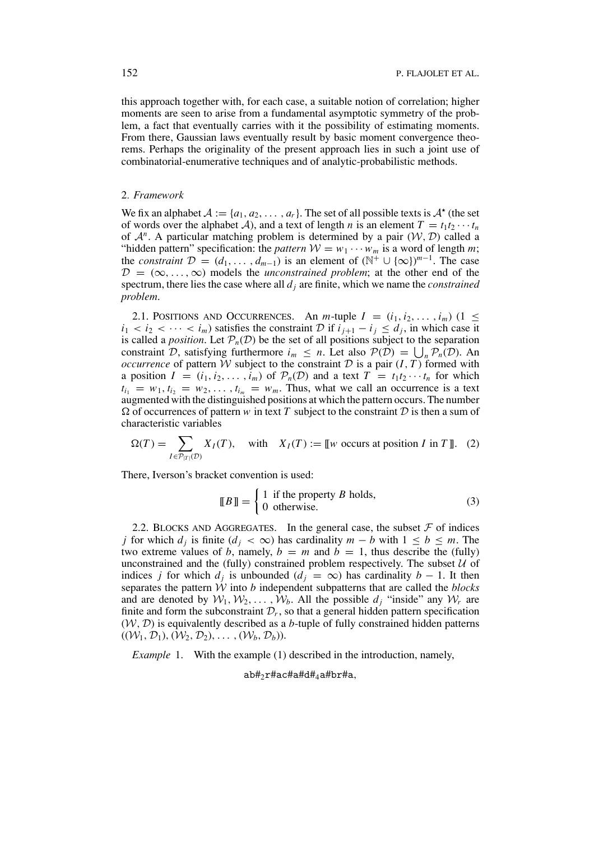this approach together with, for each case, a suitable notion of correlation; higher moments are seen to arise from a fundamental asymptotic symmetry of the problem, a fact that eventually carries with it the possibility of estimating moments. From there, Gaussian laws eventually result by basic moment convergence theorems. Perhaps the originality of the present approach lies in such a joint use of combinatorial-enumerative techniques and of analytic-probabilistic methods.

#### 2*. Framework*

We fix an alphabet  $A := \{a_1, a_2, \dots, a_r\}$ . The set of all possible texts is  $A^*$  (the set of words over the alphabet A), and a text of length *n* is an element  $T = t_1 t_2 \cdots t_n$ of  $\mathcal{A}^n$ . A particular matching problem is determined by a pair  $(\mathcal{W}, \mathcal{D})$  called a "hidden pattern" specification: the *pattern*  $W = w_1 \cdots w_m$  is a word of length *m*; the *constraint*  $\mathcal{D} = (d_1, \ldots, d_{m-1})$  is an element of  $(\mathbb{N}^+ \cup {\infty})^{m-1}$ . The case  $D = (\infty, ..., \infty)$  models the *unconstrained problem*; at the other end of the spectrum, there lies the case where all *dj* are finite, which we name the *constrained problem*.

2.1. POSITIONS AND OCCURRENCES. An *m*-tuple  $I = (i_1, i_2, \ldots, i_m)$  (1  $\leq$  $i_1 < i_2 < \cdots < i_m$ ) satisfies the constraint D if  $i_{j+1} - i_j \leq d_j$ , in which case it is called a *position*. Let  $\mathcal{P}_n(\mathcal{D})$  be the set of all positions subject to the separation constraint D, satisfying furthermore  $i_m \leq n$ . Let also  $P(D) = \bigcup_n P_n(D)$ . An *occurrence* of pattern W subject to the constraint  $D$  is a pair  $(I, T)$  formed with a position  $I = (i_1, i_2, \ldots, i_m)$  of  $\mathcal{P}_n(\mathcal{D})$  and a text  $T = t_1 t_2 \cdots t_n$  for which  $t_{i_1} = w_1, t_{i_2} = w_2, \ldots, t_{i_m} = w_m$ . Thus, what we call an occurrence is a text augmented with the distinguished positions at which the pattern occurs. The number  $\Omega$  of occurrences of pattern *w* in text *T* subject to the constraint *D* is then a sum of characteristic variables

$$
\Omega(T) = \sum_{I \in \mathcal{P}_{|T|}(\mathcal{D})} X_I(T), \quad \text{with} \quad X_I(T) := \llbracket w \text{ occurs at position } I \text{ in } T \rrbracket. \tag{2}
$$

There, Iverson's bracket convention is used:

$$
\llbracket B \rrbracket = \begin{cases} 1 & \text{if the property } B \text{ holds,} \\ 0 & \text{otherwise.} \end{cases}
$$
 (3)

2.2. BLOCKS AND AGGREGATES. In the general case, the subset  $\mathcal F$  of indices *j* for which  $d_i$  is finite  $(d_i < \infty)$  has cardinality  $m - b$  with  $1 \leq b \leq m$ . The two extreme values of *b*, namely,  $b = m$  and  $b = 1$ , thus describe the (fully) unconstrained and the (fully) constrained problem respectively. The subset  $U$  of indices *j* for which  $d_j$  is unbounded  $(d_j = \infty)$  has cardinality  $b - 1$ . It then separates the pattern  $\hat{W}$  into  $\hat{b}$  independent subpatterns that are called the *blocks* and are denoted by  $W_1, W_2, \ldots, W_b$ . All the possible  $d_i$  "inside" any  $W_r$  are finite and form the subconstraint  $\mathcal{D}_r$ , so that a general hidden pattern specification  $(W, D)$  is equivalently described as a *b*-tuple of fully constrained hidden patterns  $((\mathcal{W}_1, \mathcal{D}_1), (\mathcal{W}_2, \mathcal{D}_2), \ldots, (\mathcal{W}_h, \mathcal{D}_b)).$ 

*Example* 1. With the example (1) described in the introduction, namely,

 $ab#_2$ r#ac#a#d#<sub>4</sub>a#br#a,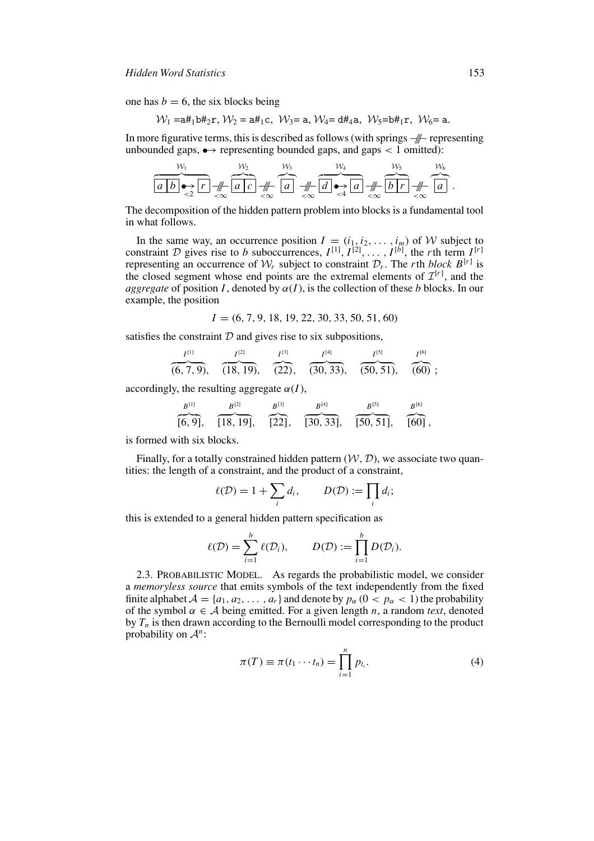one has  $b = 6$ , the six blocks being

$$
W_1 = a\#_1 b\#_2 r
$$
,  $W_2 = a\#_1 c$ ,  $W_3 = a$ ,  $W_4 = d\#_4 a$ ,  $W_5 = b\#_1 r$ ,  $W_6 = a$ .

In more figurative terms, this is described as follows (with springs  $\frac{1}{r}$  representing unbounded gaps,  $\rightarrow$  representing bounded gaps, and gaps < 1 omitted):

$$
\overbrace{a \mid b} \xrightarrow{\mathcal{W}_1} \overbrace{c} \xrightarrow{\mathcal{W}_2} \overbrace{a \mid c} \xrightarrow{\mathcal{W}_3} \overbrace{a} \xrightarrow{\mathcal{W}_4} \overbrace{a \mid d} \xrightarrow{\mathcal{W}_5} \overbrace{b \mid r} \xrightarrow{\mathcal{W}_6} \overbrace{a}.
$$

The decomposition of the hidden pattern problem into blocks is a fundamental tool in what follows.

In the same way, an occurrence position  $I = (i_1, i_2, \dots, i_m)$  of W subject to constraint  $D$  gives rise to *b* suboccurrences,  $I^{[1]}, I^{[2]}, \ldots, I^{[b]}$ , the *r*th term  $I^{[r]}$ representing an occurrence of  $W_r$  subject to constraint  $\mathcal{D}_r$ . The *r*th *block*  $B^{[r]}$  is the closed segment whose end points are the extremal elements of  $\mathcal{I}^{[r]}$ , and the *aggregate* of position *I*, denoted by  $\alpha$ (*I*), is the collection of these *b* blocks. In our example, the position

*I* = (6, 7, 9, 18, 19, 22, 30, 33, 50, 51, 60)

satisfies the constraint  $D$  and gives rise to six subpositions,

$$
\frac{I^{[1]}}{(6,7,9)}, \frac{I^{[2]}}{(18,19)}, \frac{I^{[3]}}{(22)}, \frac{I^{[4]}}{(30,33)}, \frac{I^{[5]}}{(50,51)}, \frac{I^{[6]}}{(60)};
$$

accordingly, the resulting aggregate  $\alpha(I)$ ,

$$
\overbrace{[6,9]}^{B^{[1]},\qquad \overbrace{[18,19]}^{B^{[2]},\qquad \overbrace{[22]}^{B^{[3]}},\qquad \overbrace{[30,33]}^{B^{[4]},\qquad \overbrace{[50,51]}^{B^{[5]},\qquad \overbrace{[60]}^{B^{[6]}},
$$

is formed with six blocks.

Finally, for a totally constrained hidden pattern  $(W, D)$ , we associate two quantities: the length of a constraint, and the product of a constraint,

$$
\ell(\mathcal{D}) = 1 + \sum_i d_i, \qquad D(\mathcal{D}) := \prod_i d_i;
$$

this is extended to a general hidden pattern specification as

$$
\ell(\mathcal{D}) = \sum_{i=1}^b \ell(\mathcal{D}_i), \qquad D(\mathcal{D}) := \prod_{i=1}^b D(\mathcal{D}_i).
$$

2.3. PROBABILISTIC MODEL. As regards the probabilistic model, we consider a *memoryless source* that emits symbols of the text independently from the fixed finite alphabet  $A = \{a_1, a_2, \ldots, a_r\}$  and denote by  $p_\alpha$  ( $0 < p_\alpha < 1$ ) the probability of the symbol  $\alpha \in A$  being emitted. For a given length *n*, a random *text*, denoted by  $T_n$  is then drawn according to the Bernoulli model corresponding to the product probability on  $A^n$ :

$$
\pi(T) \equiv \pi(t_1 \cdots t_n) = \prod_{i=1}^n p_{t_i}.
$$
\n(4)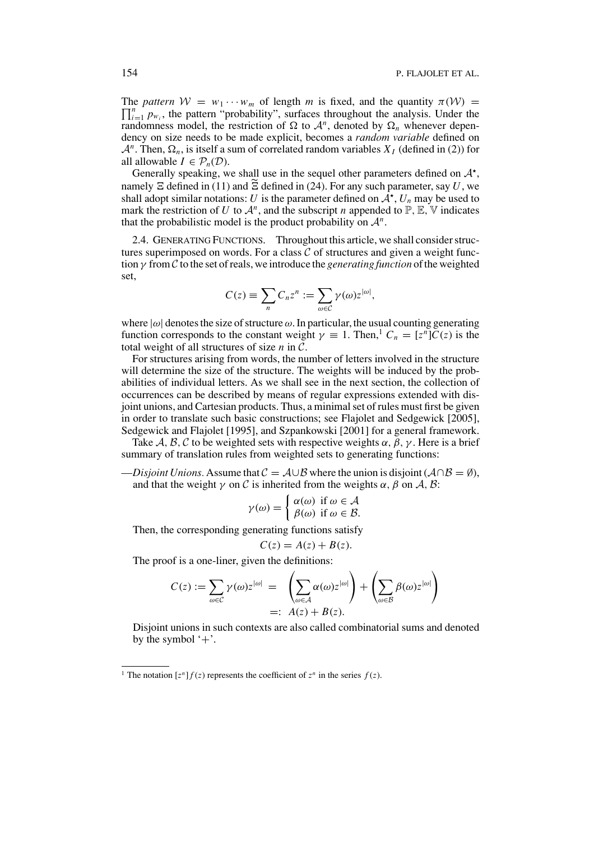$\prod_{i=1}^{n} p_{w_i}$ , the pattern "probability", surfaces throughout the analysis. Under the The *pattern*  $W = w_1 \cdots w_m$  of length *m* is fixed, and the quantity  $\pi(W)$  = randomness model, the restriction of  $\Omega$  to  $\mathcal{A}^n$ , denoted by  $\Omega_n$  whenever dependency on size needs to be made explicit, becomes a *random variable* defined on  $A^n$ . Then,  $\Omega_n$ , is itself a sum of correlated random variables  $X_i$  (defined in (2)) for all allowable  $I \in \mathcal{P}_n(\mathcal{D})$ .

Generally speaking, we shall use in the sequel other parameters defined on  $\mathcal{A}^*$ , namely  $\Xi$  defined in (11) and  $\Xi$  defined in (24). For any such parameter, say *U*, we shall adopt similar notations: *U* is the parameter defined on  $\mathcal{A}^{\star}$ ,  $U_n$  may be used to mark the restriction of *U* to  $\mathcal{A}^n$ , and the subscript *n* appended to  $\mathbb{P}, \mathbb{E}, \mathbb{V}$  indicates that the probabilistic model is the product probability on  $\mathcal{A}^n$ .

2.4. GENERATING FUNCTIONS. Throughout this article, we shall consider structures superimposed on words. For a class  $C$  of structures and given a weight function  $\gamma$  from C to the set of reals, we introduce the *generating function* of the weighted set,

$$
C(z) \equiv \sum_{n} C_n z^n := \sum_{\omega \in \mathcal{C}} \gamma(\omega) z^{|\omega|},
$$

where  $|\omega|$  denotes the size of structure  $\omega$ . In particular, the usual counting generating function corresponds to the constant weight  $\gamma \equiv 1$ . Then,<sup>1</sup>  $C_n = [z^n]C(z)$  is the total weight of all structures of size *n* in C.

For structures arising from words, the number of letters involved in the structure will determine the size of the structure. The weights will be induced by the probabilities of individual letters. As we shall see in the next section, the collection of occurrences can be described by means of regular expressions extended with disjoint unions, and Cartesian products. Thus, a minimal set of rules must first be given in order to translate such basic constructions; see Flajolet and Sedgewick [2005], Sedgewick and Flajolet [1995], and Szpankowski [2001] for a general framework.

Take A, B, C to be weighted sets with respective weights  $\alpha$ ,  $\beta$ ,  $\gamma$ . Here is a brief summary of translation rules from weighted sets to generating functions:

—*Disjoint Unions.* Assume that  $C = \mathcal{A} \cup \mathcal{B}$  where the union is disjoint ( $\mathcal{A} \cap \mathcal{B} = \emptyset$ ), and that the weight  $\gamma$  on C is inherited from the weights  $\alpha$ ,  $\beta$  on A, B:

$$
\gamma(\omega) = \begin{cases} \alpha(\omega) & \text{if } \omega \in \mathcal{A} \\ \beta(\omega) & \text{if } \omega \in \mathcal{B}. \end{cases}
$$

Then, the corresponding generating functions satisfy

$$
C(z) = A(z) + B(z).
$$

The proof is a one-liner, given the definitions:

$$
C(z) := \sum_{\omega \in C} \gamma(\omega) z^{|\omega|} = \left( \sum_{\omega \in A} \alpha(\omega) z^{|\omega|} \right) + \left( \sum_{\omega \in B} \beta(\omega) z^{|\omega|} \right)
$$
  
=:  $A(z) + B(z)$ .

Disjoint unions in such contexts are also called combinatorial sums and denoted by the symbol  $'$ +'.

<sup>&</sup>lt;sup>1</sup> The notation  $[z^n] f(z)$  represents the coefficient of  $z^n$  in the series  $f(z)$ .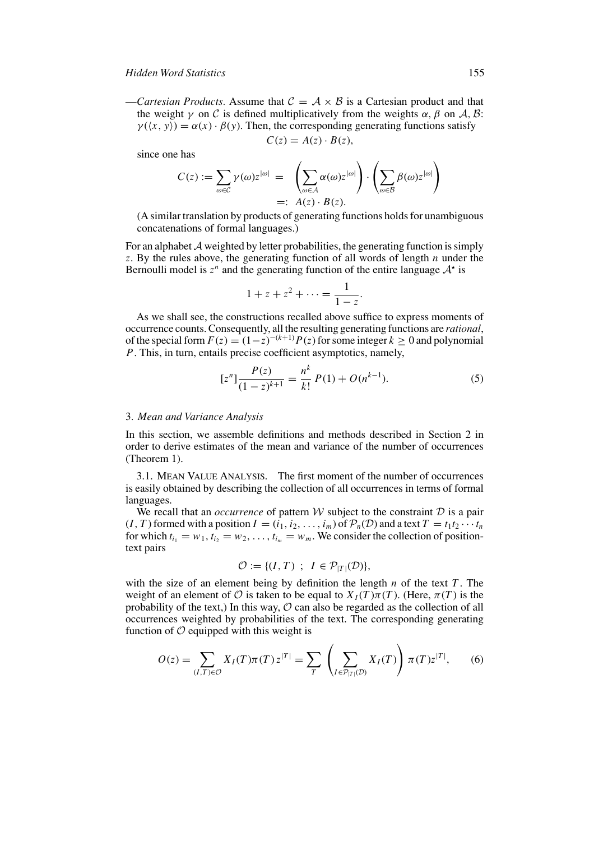—*Cartesian Products*. Assume that  $C = A \times B$  is a Cartesian product and that the weight  $\gamma$  on C is defined multiplicatively from the weights  $\alpha$ ,  $\beta$  on A, B:  $\gamma(\langle x, y \rangle) = \alpha(x) \cdot \beta(y)$ . Then, the corresponding generating functions satisfy

$$
C(z) = A(z) \cdot B(z),
$$

since one has

$$
C(z) := \sum_{\omega \in C} \gamma(\omega) z^{|\omega|} = \left( \sum_{\omega \in A} \alpha(\omega) z^{|\omega|} \right) \cdot \left( \sum_{\omega \in B} \beta(\omega) z^{|\omega|} \right)
$$
  
=:  $A(z) \cdot B(z)$ .

(A similar translation by products of generating functions holds for unambiguous concatenations of formal languages.)

For an alphabet  $A$  weighted by letter probabilities, the generating function is simply *z*. By the rules above, the generating function of all words of length *n* under the Bernoulli model is  $z^n$  and the generating function of the entire language  $A^*$  is

$$
1 + z + z^2 + \dots = \frac{1}{1 - z}.
$$

As we shall see, the constructions recalled above suffice to express moments of occurrence counts. Consequently, all the resulting generating functions are *rational*, of the special form  $F(z) = (1-z)^{-(k+1)}P(z)$  for some integer  $k \ge 0$  and polynomial *P*. This, in turn, entails precise coefficient asymptotics, namely,

$$
[zn] \frac{P(z)}{(1-z)^{k+1}} = \frac{n^k}{k!} P(1) + O(n^{k-1}).
$$
 (5)

#### 3*. Mean and Variance Analysis*

In this section, we assemble definitions and methods described in Section 2 in order to derive estimates of the mean and variance of the number of occurrences (Theorem 1).

3.1. MEAN VALUE ANALYSIS. The first moment of the number of occurrences is easily obtained by describing the collection of all occurrences in terms of formal languages.

We recall that an *occurrence* of pattern  $W$  subject to the constraint  $D$  is a pair  $(I, T)$  formed with a position  $I = (i_1, i_2, \ldots, i_m)$  of  $\mathcal{P}_n(\mathcal{D})$  and a text  $T = t_1 t_2 \cdots t_m$ for which  $t_{i_1} = w_1, t_{i_2} = w_2, \ldots, t_{i_m} = w_m$ . We consider the collection of positiontext pairs

$$
\mathcal{O} := \{ (I, T) ; I \in \mathcal{P}_{|T|}(\mathcal{D}) \},
$$

with the size of an element being by definition the length *n* of the text *T* . The weight of an element of  $\mathcal O$  is taken to be equal to  $X_I(T)\pi(T)$ . (Here,  $\pi(T)$  is the probability of the text,) In this way,  $\mathcal O$  can also be regarded as the collection of all occurrences weighted by probabilities of the text. The corresponding generating function of  $\mathcal O$  equipped with this weight is

$$
O(z) = \sum_{(I,T)\in\mathcal{O}} X_I(T)\pi(T) z^{|T|} = \sum_{T} \left( \sum_{I \in \mathcal{P}_{|T|}(\mathcal{D})} X_I(T) \right) \pi(T) z^{|T|}, \qquad (6)
$$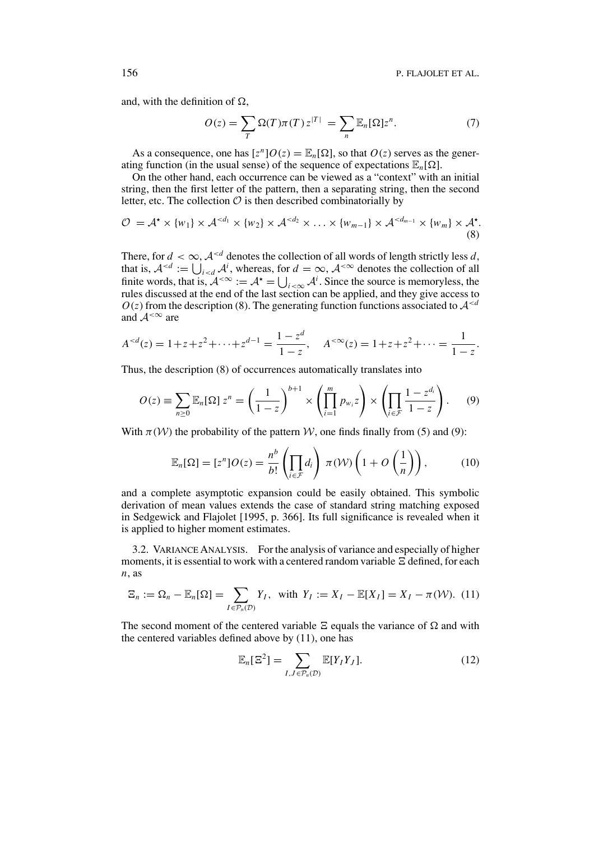and, with the definition of  $\Omega$ .

$$
O(z) = \sum_{T} \Omega(T)\pi(T) z^{|T|} = \sum_{n} \mathbb{E}_{n}[\Omega] z^{n}.
$$
 (7)

As a consequence, one has  $[z^n]O(z) = \mathbb{E}_n[\Omega]$ , so that  $O(z)$  serves as the generating function (in the usual sense) of the sequence of expectations  $\mathbb{E}_{n}[\Omega]$ .

On the other hand, each occurrence can be viewed as a "context" with an initial string, then the first letter of the pattern, then a separating string, then the second letter, etc. The collection  $\mathcal O$  is then described combinatorially by

$$
\mathcal{O} = \mathcal{A}^{\star} \times \{w_1\} \times \mathcal{A}^{\n(8)
$$

There, for  $d < \infty$ ,  $A^{\le d}$  denotes the collection of all words of length strictly less d, that is,  $A^{&d} := \bigcup_{i < d} A^i$ , whereas, for  $d = \infty$ ,  $A^{< \infty}$  denotes the collection of all finite words, that is,  $\mathcal{A}^{<\infty} := \mathcal{A}^* = \bigcup_{i < \infty} \mathcal{A}^i$ . Since the source is memoryless, the rules discussed at the end of the last section can be applied, and they give access to  $O(z)$  from the description (8). The generating function functions associated to  $A^{< d}$ and  $A<sup><</sup>\infty$  are

$$
A^{
$$

Thus, the description (8) of occurrences automatically translates into

$$
O(z) \equiv \sum_{n\geq 0} \mathbb{E}_n[\Omega] z^n = \left(\frac{1}{1-z}\right)^{b+1} \times \left(\prod_{i=1}^m p_{w_i} z\right) \times \left(\prod_{i\in \mathcal{F}} \frac{1-z^{d_i}}{1-z}\right). \tag{9}
$$

With  $\pi(W)$  the probability of the pattern W, one finds finally from (5) and (9):

$$
\mathbb{E}_n[\Omega] = [z^n]O(z) = \frac{n^b}{b!} \left( \prod_{i \in \mathcal{F}} d_i \right) \pi(\mathcal{W}) \left( 1 + O\left(\frac{1}{n}\right) \right), \tag{10}
$$

and a complete asymptotic expansion could be easily obtained. This symbolic derivation of mean values extends the case of standard string matching exposed in Sedgewick and Flajolet [1995, p. 366]. Its full significance is revealed when it is applied to higher moment estimates.

3.2. VARIANCE ANALYSIS. For the analysis of variance and especially of higher moments, it is essential to work with a centered random variable  $\Xi$  defined, for each *n*, as

$$
\Xi_n := \Omega_n - \mathbb{E}_n[\Omega] = \sum_{I \in \mathcal{P}_n(\mathcal{D})} Y_I, \text{ with } Y_I := X_I - \mathbb{E}[X_I] = X_I - \pi(\mathcal{W}). \tag{11}
$$

The second moment of the centered variable  $\Xi$  equals the variance of  $\Omega$  and with the centered variables defined above by (11), one has

$$
\mathbb{E}_n[\Xi^2] = \sum_{I,J \in \mathcal{P}_n(\mathcal{D})} \mathbb{E}[Y_I Y_J]. \tag{12}
$$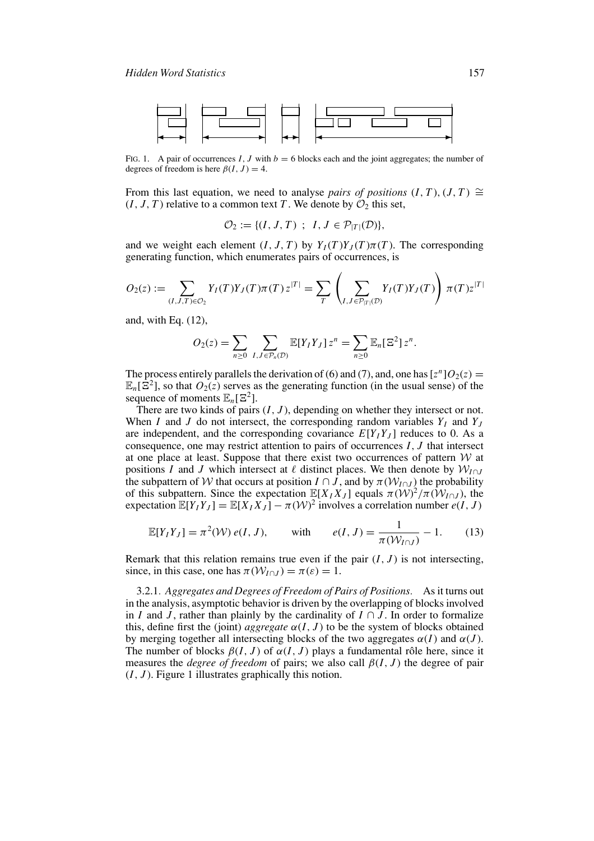

FIG. 1. A pair of occurrences *I*, *J* with  $b = 6$  blocks each and the joint aggregates; the number of degrees of freedom is here  $\beta(I, J) = 4$ .

From this last equation, we need to analyse *pairs of positions*  $(I, T), (J, T) \cong$  $(I, J, T)$  relative to a common text *T*. We denote by  $\mathcal{O}_2$  this set,

 $\mathcal{O}_2 := \{ (I, J, T) ; I, J \in \mathcal{P}_{|T|}(\mathcal{D}) \},\$ 

and we weight each element  $(I, J, T)$  by  $Y_I(T)Y_J(T) \pi(T)$ . The corresponding generating function, which enumerates pairs of occurrences, is

$$
O_2(z) := \sum_{(I,J,T) \in \mathcal{O}_2} Y_I(T) Y_J(T) \pi(T) z^{|T|} = \sum_T \left( \sum_{I,J \in \mathcal{P}_{|T|}(\mathcal{D})} Y_I(T) Y_J(T) \right) \pi(T) z^{|T|}
$$

and, with Eq. (12),

$$
O_2(z) = \sum_{n \geq 0} \sum_{I,J \in \mathcal{P}_n(\mathcal{D})} \mathbb{E}[Y_I Y_J] z^n = \sum_{n \geq 0} \mathbb{E}_n[\Xi^2] z^n.
$$

The process entirely parallels the derivation of (6) and (7), and, one has  $[z^n]O_2(z)$  =  $\mathbb{E}_n[\mathbb{E}^2]$ , so that  $O_2(z)$  serves as the generating function (in the usual sense) of the sequence of moments  $\mathbb{E}_n[\Xi^2]$ .

There are two kinds of pairs (*I*, *J* ), depending on whether they intersect or not. When *I* and *J* do not intersect, the corresponding random variables  $Y_I$  and  $Y_J$ are independent, and the corresponding covariance  $E[Y_iY_j]$  reduces to 0. As a consequence, one may restrict attention to pairs of occurrences *I*, *J* that intersect at one place at least. Suppose that there exist two occurrences of pattern  $W$  at positions *I* and *J* which intersect at  $\ell$  distinct places. We then denote by  $W_{I \cap J}$ the subpattern of W that occurs at position  $I \cap J$ , and by  $\pi(W_{I \cap J})$  the probability of this subpattern. Since the expectation  $\mathbb{E}[X_IX_J]$  equals  $\pi(\mathcal{W})^2/\pi(\mathcal{W}_{I \cap J})$ , the expectation  $\mathbb{E}[Y_I Y_J] = \mathbb{E}[X_I X_J] - \pi(\mathcal{W})^2$  involves a correlation number  $e(I, J)$ 

$$
\mathbb{E}[Y_I Y_J] = \pi^2(\mathcal{W}) \, e(I, J), \qquad \text{with} \qquad e(I, J) = \frac{1}{\pi(\mathcal{W}_{I \cap J})} - 1. \tag{13}
$$

Remark that this relation remains true even if the pair  $(I, J)$  is not intersecting, since, in this case, one has  $\pi(\mathcal{W}_{I \cap J}) = \pi(\varepsilon) = 1$ .

3.2.1*. Aggregates and Degrees of Freedom of Pairs of Positions.* As it turns out in the analysis, asymptotic behavior is driven by the overlapping of blocks involved in *I* and *J*, rather than plainly by the cardinality of  $I \cap J$ . In order to formalize this, define first the (joint) *aggregate*  $\alpha(I, J)$  to be the system of blocks obtained by merging together all intersecting blocks of the two aggregates  $\alpha(I)$  and  $\alpha(J)$ . The number of blocks  $\beta(I, J)$  of  $\alpha(I, J)$  plays a fundamental rôle here, since it measures the *degree of freedom* of pairs; we also call  $\beta(I, J)$  the degree of pair (*I*, *J* ). Figure 1 illustrates graphically this notion.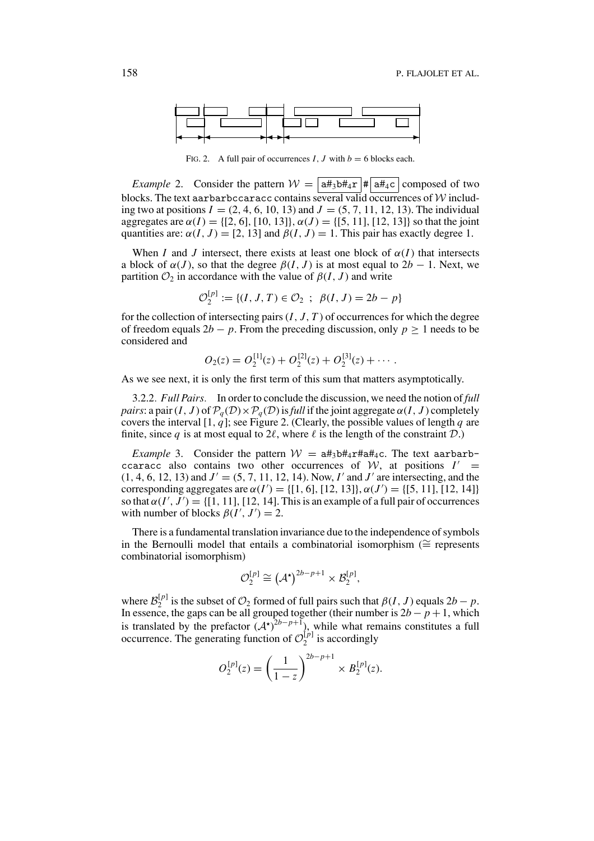

FIG. 2. A full pair of occurrences  $I, J$  with  $b = 6$  blocks each.

*Example* 2. Consider the pattern  $W = |\mathsf{a} \#_3 \mathsf{b} \#_4 \mathsf{r}| \# |\mathsf{a} \#_4 \mathsf{c}|$  composed of two blocks. The text aarbarbccaracc contains several valid occurrences of  $W$  including two at positions  $I = (2, 4, 6, 10, 13)$  and  $J = (5, 7, 11, 12, 13)$ . The individual aggregates are  $\alpha(I) = \{[2, 6], [10, 13]\}, \alpha(J) = \{[5, 11], [12, 13]\}$  so that the joint quantities are:  $\alpha(I, J) = [2, 13]$  and  $\beta(I, J) = 1$ . This pair has exactly degree 1.

When *I* and *J* intersect, there exists at least one block of  $\alpha(I)$  that intersects a block of  $\alpha(J)$ , so that the degree  $\beta(I, J)$  is at most equal to  $2b - 1$ . Next, we partition  $\mathcal{O}_2$  in accordance with the value of  $\beta(I, J)$  and write

$$
\mathcal{O}_2^{[p]} := \{ (I, J, T) \in \mathcal{O}_2 \; ; \; \beta(I, J) = 2b - p \}
$$

for the collection of intersecting pairs  $(I, J, T)$  of occurrences for which the degree of freedom equals  $2b - p$ . From the preceding discussion, only  $p \ge 1$  needs to be considered and

$$
O_2(z) = O_2^{[1]}(z) + O_2^{[2]}(z) + O_2^{[3]}(z) + \cdots
$$

As we see next, it is only the first term of this sum that matters asymptotically.

3.2.2*. Full Pairs.* In order to conclude the discussion, we need the notion of *full pairs*: a pair  $(I, J)$  of  $\mathcal{P}_q(\mathcal{D}) \times \mathcal{P}_q(\mathcal{D})$  is *full* if the joint aggregate  $\alpha(I, J)$  completely covers the interval  $[1, q]$ ; see Figure 2. (Clearly, the possible values of length *q* are finite, since q is at most equal to  $2\ell$ , where  $\ell$  is the length of the constraint  $\mathcal{D}$ .)

*Example* 3. Consider the pattern  $W = a \#_3 b \#_4 r \#_4 d \ldots$ . The text aarbarbccaracc also contains two other occurrences of  $\mathcal{W}$ , at positions  $I' =$  $(1, 4, 6, 12, 13)$  and  $J' = (5, 7, 11, 12, 14)$ . Now, *I'* and *J'* are intersecting, and the corresponding aggregates are  $\alpha(I') = \{[1, 6], [12, 13]\}, \alpha(J') = \{[5, 11], [12, 14]\}$ so that  $\alpha(I', J') = \{ [1, 11], [12, 14]$ . This is an example of a full pair of occurrences with number of blocks  $\beta(I', J') = 2$ .

There is a fundamental translation invariance due to the independence of symbols in the Bernoulli model that entails a combinatorial isomorphism ( $\cong$  represents combinatorial isomorphism)

$$
\mathcal{O}_2^{[p]} \cong (\mathcal{A}^{\star})^{2b-p+1} \times \mathcal{B}_2^{[p]},
$$

where  $\mathcal{B}_2^{[p]}$  is the subset of  $\mathcal{O}_2$  formed of full pairs such that  $\beta(I, J)$  equals  $2b - p$ . In essence, the gaps can be all grouped together (their number is  $2b - p + 1$ , which is translated by the prefactor  $(A^{\star})^{2b-p+1}$ , while what remains constitutes a full occurrence. The generating function of  $\mathcal{O}_2^{[p]}$  is accordingly

$$
O_2^{[p]}(z) = \left(\frac{1}{1-z}\right)^{2b-p+1} \times B_2^{[p]}(z).
$$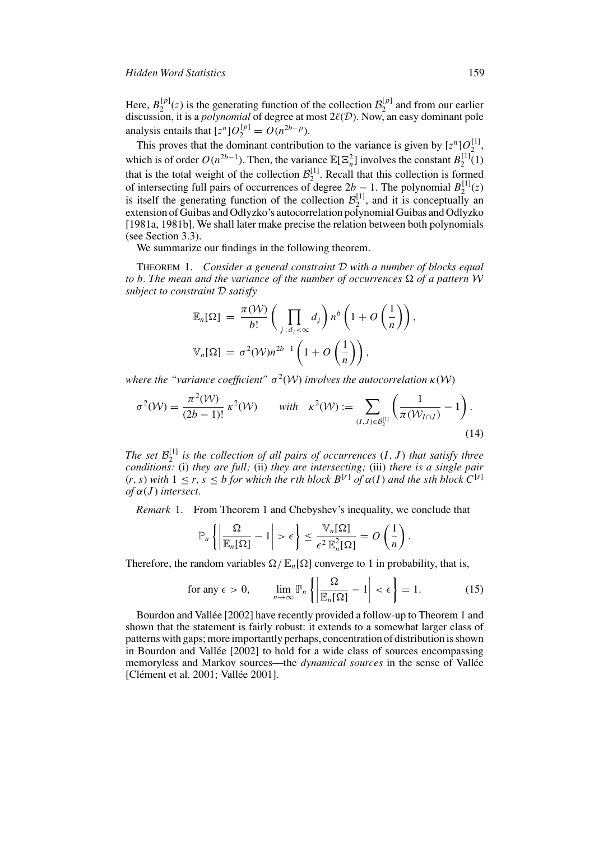Here,  $B_2^{[p]}(z)$  is the generating function of the collection  $\mathcal{B}_2^{[p]}$  and from our earlier discussion, it is a *polynomial* of degree at most  $2\ell(\mathcal{D})$ . Now, an easy dominant pole analysis entails that  $[z^n]O_2^{[p]} = O(n^{2b-p})$ .

This proves that the dominant contribution to the variance is given by  $[z^n]Q_2^{[1]}$ , which is of order  $O(n^{2b-1})$ . Then, the variance  $\mathbb{E}[\Xi_n^2]$  involves the constant  $B_2^{[1]}(1)$ that is the total weight of the collection  $\mathcal{B}_2^{[1]}$ . Recall that this collection is formed of intersecting full pairs of occurrences of degree  $2b - 1$ . The polynomial  $B_2^{[1]}(z)$ is itself the generating function of the collection  $\mathcal{B}_2^{[1]}$ , and it is conceptually an extension of Guibas and Odlyzko's autocorrelation polynomial Guibas and Odlyzko [1981a, 1981b]. We shall later make precise the relation between both polynomials (see Section 3.3).

We summarize our findings in the following theorem.

THEOREM 1. *Consider a general constraint* D *with a number of blocks equal to b. The mean and the variance of the number of occurrences*  $\Omega$  *of a pattern* W *subject to constraint* D *satisfy*

$$
\mathbb{E}_n[\Omega] = \frac{\pi(\mathcal{W})}{b!} \bigg( \prod_{j \,:\, d_j < \infty} d_j \bigg) n^b \bigg( 1 + O\left(\frac{1}{n}\right) \bigg),
$$
\n
$$
\mathbb{V}_n[\Omega] = \sigma^2(\mathcal{W}) n^{2b-1} \bigg( 1 + O\left(\frac{1}{n}\right) \bigg),
$$

*where the "variance coefficient"*  $\sigma^2(W)$  *involves the autocorrelation*  $\kappa(W)$ 

$$
\sigma^{2}(\mathcal{W}) = \frac{\pi^{2}(\mathcal{W})}{(2b-1)!} \ \kappa^{2}(\mathcal{W}) \qquad \text{with} \quad \kappa^{2}(\mathcal{W}) := \sum_{(I,J) \in \mathcal{B}_{2}^{[1]}} \left( \frac{1}{\pi(\mathcal{W}_{I \cap J})} - 1 \right). \tag{14}
$$

*The set*  $\mathcal{B}_2^{[1]}$  *is the collection of all pairs of occurrences*  $(I, J)$  *that satisfy three conditions:* (i) *they are full;* (ii) *they are intersecting;* (iii) *there is a single pair*  $(r, s)$  with  $1 \leq r, s \leq b$  for which the rth block  $B^{[r]}$  of  $\alpha(I)$  and the sth block  $C^{[s]}$  $of \alpha(J)$  *intersect.* 

*Remark* 1. From Theorem 1 and Chebyshev's inequality, we conclude that

$$
\mathbb{P}_n\left\{\left|\frac{\Omega}{\mathbb{E}_n[\Omega]}-1\right|>\epsilon\right\} \leq \frac{\mathbb{V}_n[\Omega]}{\epsilon^2 \mathbb{E}_n^2[\Omega]}=O\left(\frac{1}{n}\right).
$$

Therefore, the random variables  $\Omega / \mathbb{E}_n[\Omega]$  converge to 1 in probability, that is,

for any 
$$
\epsilon > 0
$$
,  $\lim_{n \to \infty} \mathbb{P}_n \left\{ \left| \frac{\Omega}{\mathbb{E}_n[\Omega]} - 1 \right| < \epsilon \right\} = 1.$  (15)

Bourdon and Vallée [2002] have recently provided a follow-up to Theorem 1 and shown that the statement is fairly robust: it extends to a somewhat larger class of patterns with gaps; more importantly perhaps, concentration of distribution is shown in Bourdon and Vallée [2002] to hold for a wide class of sources encompassing memoryless and Markov sources—the *dynamical sources* in the sense of Vallée [Clément et al. 2001; Vallée 2001].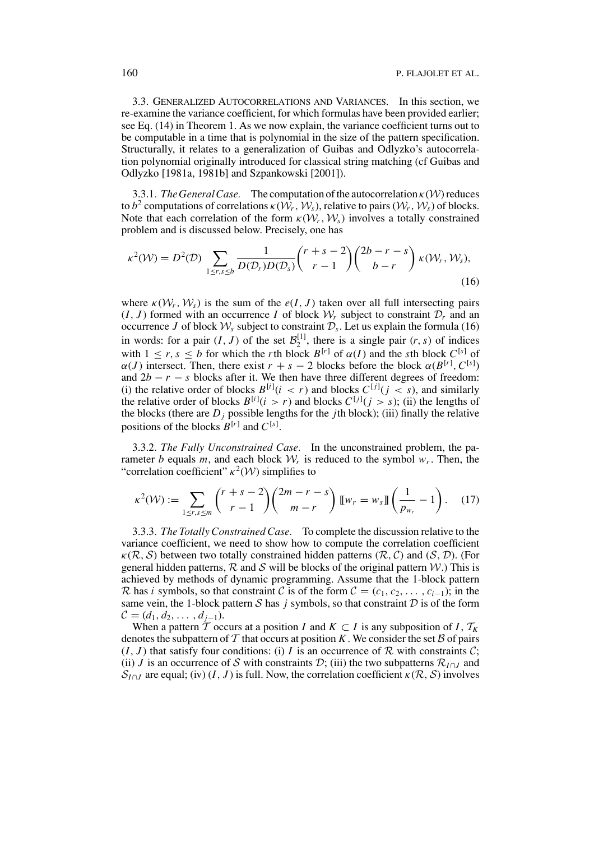3.3. GENERALIZED AUTOCORRELATIONS AND VARIANCES. In this section, we re-examine the variance coefficient, for which formulas have been provided earlier; see Eq. (14) in Theorem 1. As we now explain, the variance coefficient turns out to be computable in a time that is polynomial in the size of the pattern specification. Structurally, it relates to a generalization of Guibas and Odlyzko's autocorrelation polynomial originally introduced for classical string matching (cf Guibas and Odlyzko [1981a, 1981b] and Szpankowski [2001]).

3.3.1*. The General Case.* The computation of the autocorrelation  $\kappa(W)$  reduces to  $b^2$  computations of correlations  $\kappa(W_r, W_s)$ , relative to pairs  $(W_r, W_s)$  of blocks. Note that each correlation of the form  $\kappa(\mathcal{W}_r, \mathcal{W}_s)$  involves a totally constrained problem and is discussed below. Precisely, one has

$$
\kappa^{2}(\mathcal{W}) = D^{2}(\mathcal{D}) \sum_{1 \leq r,s \leq b} \frac{1}{D(\mathcal{D}_{r})D(\mathcal{D}_{s})} {r+s-2 \choose r-1} {2b-r-s \choose b-r} \kappa(\mathcal{W}_{r}, \mathcal{W}_{s}), \tag{16}
$$

where  $\kappa(\mathcal{W}_r, \mathcal{W}_s)$  is the sum of the  $e(I, J)$  taken over all full intersecting pairs  $(I, J)$  formed with an occurrence *I* of block  $W_r$  subject to constraint  $D_r$  and an occurrence *J* of block  $W_s$  subject to constraint  $\mathcal{D}_s$ . Let us explain the formula (16) in words: for a pair  $(I, J)$  of the set  $\mathcal{B}_2^{[1]}$ , there is a single pair  $(r, s)$  of indices with  $1 \le r, s \le b$  for which the *r*th block  $B^{[r]}$  of  $\alpha(I)$  and the *s*th block  $C^{[s]}$  of  $\alpha(J)$  intersect. Then, there exist  $r + s - 2$  blocks before the block  $\alpha(B^{[r]}, C^{[s]})$ and  $2b - r - s$  blocks after it. We then have three different degrees of freedom: (i) the relative order of blocks  $B^{[i]}(i < r)$  and blocks  $C^{[j]}(j < s)$ , and similarly the relative order of blocks  $B^{[i]}(i > r)$  and blocks  $C^{[j]}(j > s)$ ; (ii) the lengths of the blocks (there are *Dj* possible lengths for the *j*th block); (iii) finally the relative positions of the blocks  $B^{[r]}$  and  $C^{[s]}$ .

3.3.2*. The Fully Unconstrained Case.* In the unconstrained problem, the parameter *b* equals *m*, and each block  $W_r$  is reduced to the symbol  $W_r$ . Then, the "correlation coefficient"  $\kappa^2(\mathcal{W})$  simplifies to

$$
\kappa^{2}(\mathcal{W}) := \sum_{1 \le r,s \le m} {r+s-2 \choose r-1} {2m-r-s \choose m-r} \llbracket w_r = w_s \rrbracket \left( \frac{1}{p_{w_r}} - 1 \right). \tag{17}
$$

3.3.3*. The Totally Constrained Case.* To complete the discussion relative to the variance coefficient, we need to show how to compute the correlation coefficient  $\kappa(\mathcal{R}, \mathcal{S})$  between two totally constrained hidden patterns  $(\mathcal{R}, \mathcal{C})$  and  $(\mathcal{S}, \mathcal{D})$ . (For general hidden patterns,  $R$  and  $S$  will be blocks of the original pattern  $W$ .) This is achieved by methods of dynamic programming. Assume that the 1-block pattern R has *i* symbols, so that constraint C is of the form  $C = (c_1, c_2, \ldots, c_{i-1})$ ; in the same vein, the 1-block pattern  $S$  has *j* symbols, so that constraint  $D$  is of the form  $C = (d_1, d_2, \ldots, d_{i-1}).$ 

When a pattern  $\overline{T}$  occurs at a position *I* and  $K \subset I$  is any subposition of *I*,  $T_K$ denotes the subpattern of  $T$  that occurs at position  $K$ . We consider the set  $\beta$  of pairs  $(I, J)$  that satisfy four conditions: (i) *I* is an occurrence of R with constraints C; (ii) *J* is an occurrence of S with constraints D; (iii) the two subpatterns  $\mathcal{R}_{I \cap J}$  and  $S_{I \cap J}$  are equal; (iv) (*I*, *J*) is full. Now, the correlation coefficient  $\kappa(\mathcal{R}, \mathcal{S})$  involves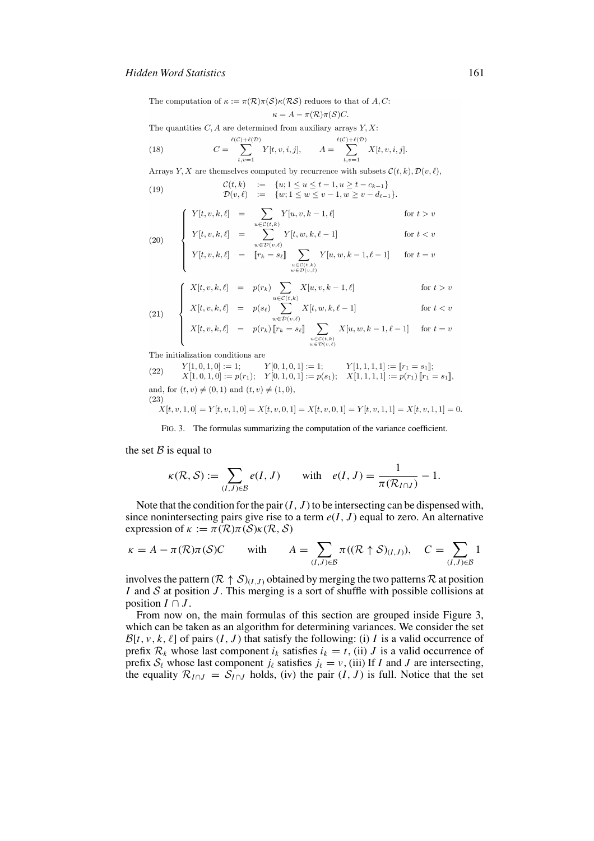The computation of  $\kappa := \pi(\mathcal{R})\pi(\mathcal{S})\kappa(\mathcal{RS})$  reduces to that of A, C:

$$
\kappa = A - \pi(\mathcal{R})\pi(\mathcal{S})C.
$$

The quantities  $C, A$  are determined from auxiliary arrays  $Y, X$ :

(18) 
$$
C = \sum_{t,v=1}^{\ell(\mathcal{C})+\ell(\mathcal{D})} Y[t,v,i,j], \qquad A = \sum_{t,v=1}^{\ell(\mathcal{C})+\ell(\mathcal{D})} X[t,v,i,j].
$$

Arrays Y, X are themselves computed by recurrence with subsets  $\mathcal{C}(t, k)$ ,  $\mathcal{D}(v, \ell)$ ,

(19) 
$$
\mathcal{C}(t,k) := \{u; 1 \le u \le t-1, u \ge t-c_{k-1}\}\mathcal{D}(v,\ell) := \{w; 1 \le w \le v-1, w \ge v-d_{\ell-1}\}.
$$

$$
\begin{cases}\nY[t, v, k, \ell] &= \sum_{u \in \mathcal{C}(t, k)} Y[u, v, k-1, \ell] & \text{for } t > v \\
Y[t, v, k, \ell] &= \sum_{v \in \mathcal{C}(t, k)} Y[t, w, k, \ell-1] & \text{for } t < v\n\end{cases}
$$

(20) 
$$
\begin{cases}\nY[t, v, k, \ell] = \sum_{w \in \mathcal{D}(v, \ell)} Y[t, w, k, \ell - 1] & \text{for } t < v \\
Y[t, v, k, \ell] = \left\| r_k = s_\ell \right\| \sum_{\substack{u \in \mathcal{C}(t, k) \\ w \in \mathcal{D}(v, \ell)}} Y[u, w, k - 1, \ell - 1] & \text{for } t = v\n\end{cases}
$$

$$
\begin{cases} X[t, v, k, \ell] &= p(r_k) \sum_{u \in \mathcal{C}(t, k)} X[u, v, k-1, \ell] \qquad \text{for } t > v \end{cases}
$$

$$
(21) \quad\n\left\{\n\begin{array}{rcl}\nX[t, v, k, \ell] & = & p(s_{\ell}) \sum_{w \in \mathcal{D}(v, \ell)} X[t, w, k, \ell - 1] \\
X[t, v, k, \ell] & = & p(x_{\ell}) \left[ r_{\ell} - s_{\ell} \right] \sum_{w \in \mathcal{D}(v, \ell)} X[u, w, k - 1, \ell - 1] \quad \text{for } t = v\n\end{array}\n\right.
$$

$$
\begin{cases} X[t,v,k,\ell] &= p(r_k) \left[ r_k = s_\ell \right] \sum_{\substack{u \in \mathcal{C}(t,k) \\ w \in \mathcal{D}(v,\ell)}} X[u,w,k-1,\ell-1] \quad \text{ for } t = v \end{cases}
$$

The initialization conditions are

(22) 
$$
Y[1, 0, 1, 0] := 1;
$$
  $Y[0, 1, 0, 1] := 1;$   $Y[1, 1, 1, 1] := [r_1 = s_1];$   
\n $X[1, 0, 1, 0] := p(r_1);$   $Y[0, 1, 0, 1] := p(s_1);$   $X[1, 1, 1, 1] := p(r_1) [r_1 = s_1],$   
\nand, for  $(t, v) \neq (0, 1)$  and  $(t, v) \neq (1, 0),$   
\n(23)  $X[t, v, 1, 0] = Y[t, v, 1, 0] = X[t, v, 0, 1] = X[t, v, 0, 1] = Y[t, v, 1, 1] = X[t, v, 1, 1] = 0.$ 

FIG. 3. The formulas summarizing the computation of the variance coefficient.

the set  $\beta$  is equal to

$$
\kappa(\mathcal{R}, \mathcal{S}) := \sum_{(I,J) \in \mathcal{B}} e(I, J) \quad \text{with} \quad e(I, J) = \frac{1}{\pi(\mathcal{R}_{I \cap J})} - 1.
$$

Note that the condition for the pair  $(I, J)$  to be intersecting can be dispensed with, since nonintersecting pairs give rise to a term  $e(I, J)$  equal to zero. An alternative expression of  $\kappa := \pi(\mathcal{R})\pi(\mathcal{S})\kappa(\mathcal{R}, \mathcal{S})$ 

$$
\kappa = A - \pi(\mathcal{R})\pi(\mathcal{S})C \quad \text{with} \quad A = \sum_{(I,J)\in\mathcal{B}} \pi((\mathcal{R} \uparrow \mathcal{S})_{(I,J)}), \quad C = \sum_{(I,J)\in\mathcal{B}} 1
$$

involves the pattern  $(R \uparrow S)_{(I,J)}$  obtained by merging the two patterns R at position *I* and *S* at position *J*. This merging is a sort of shuffle with possible collisions at position  $I \cap J$ .

From now on, the main formulas of this section are grouped inside Figure 3, which can be taken as an algorithm for determining variances. We consider the set  $\mathcal{B}[t, v, k, \ell]$  of pairs  $(I, J)$  that satisfy the following: (i) *I* is a valid occurrence of prefix  $\mathcal{R}_k$  whose last component  $i_k$  satisfies  $i_k = t$ , (ii) *J* is a valid occurrence of prefix  $S_\ell$  whose last component  $j_\ell$  satisfies  $j_\ell = v$ , (iii) If *I* and *J* are intersecting, the equality  $\mathcal{R}_{I \cap J} = \mathcal{S}_{I \cap J}$  holds, (iv) the pair  $(I, J)$  is full. Notice that the set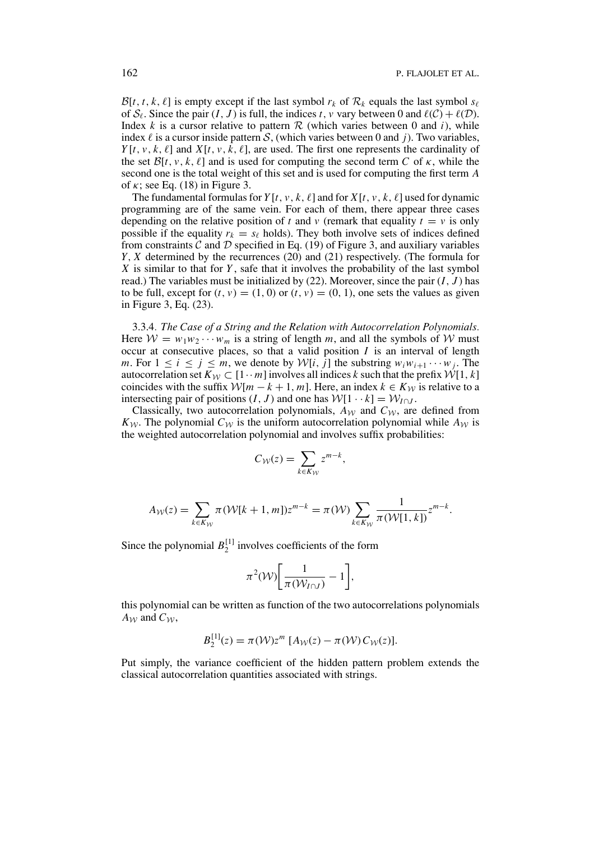$\mathcal{B}[t, t, k, \ell]$  is empty except if the last symbol  $r_k$  of  $\mathcal{R}_k$  equals the last symbol  $s_\ell$ of  $S_{\ell}$ . Since the pair  $(I, J)$  is full, the indices  $t, v$  vary between 0 and  $\ell(C) + \ell(D)$ . Index  $k$  is a cursor relative to pattern  $R$  (which varies between 0 and *i*), while index  $\ell$  is a cursor inside pattern S, (which varies between 0 and *j*). Two variables,  $Y[t, v, k, \ell]$  and  $X[t, v, k, \ell]$ , are used. The first one represents the cardinality of the set  $\mathcal{B}[t, v, k, \ell]$  and is used for computing the second term C of  $\kappa$ , while the second one is the total weight of this set and is used for computing the first term *A* of  $\kappa$ ; see Eq. (18) in Figure 3.

The fundamental formulas for  $Y[t, v, k, \ell]$  and for  $X[t, v, k, \ell]$  used for dynamic programming are of the same vein. For each of them, there appear three cases depending on the relative position of *t* and *v* (remark that equality  $t = v$  is only possible if the equality  $r_k = s_\ell$  holds). They both involve sets of indices defined from constraints  $C$  and  $D$  specified in Eq. (19) of Figure 3, and auxiliary variables *Y*, *X* determined by the recurrences (20) and (21) respectively. (The formula for *X* is similar to that for *Y* , safe that it involves the probability of the last symbol read.) The variables must be initialized by  $(22)$ . Moreover, since the pair  $(I, J)$  has to be full, except for  $(t, v) = (1, 0)$  or  $(t, v) = (0, 1)$ , one sets the values as given in Figure 3, Eq. (23).

3.3.4*. The Case of a String and the Relation with Autocorrelation Polynomials.* Here  $W = w_1 w_2 \cdots w_m$  is a string of length *m*, and all the symbols of W must occur at consecutive places, so that a valid position *I* is an interval of length *m*. For  $1 \le i \le j \le m$ , we denote by  $W[i, j]$  the substring  $w_i w_{i+1} \cdots w_j$ . The autocorrelation set  $K_W \subset [1 \cdot m]$  involves all indices k such that the prefix  $\mathcal{W}[1, k]$ coincides with the suffix  $W[m - k + 1, m]$ . Here, an index  $k \in K_W$  is relative to a intersecting pair of positions (*I*, *J*) and one has  $W[1 \cdot k] = W_{I \cap J}$ .

Classically, two autocorrelation polynomials,  $A_W$  and  $C_W$ , are defined from  $K_W$ . The polynomial  $C_W$  is the uniform autocorrelation polynomial while  $A_W$  is the weighted autocorrelation polynomial and involves suffix probabilities:

$$
C_{\mathcal{W}}(z) = \sum_{k \in K_{\mathcal{W}}} z^{m-k},
$$

$$
A_{\mathcal{W}}(z) = \sum_{k \in K_{\mathcal{W}}} \pi(\mathcal{W}[k+1, m]) z^{m-k} = \pi(\mathcal{W}) \sum_{k \in K_{\mathcal{W}}} \frac{1}{\pi(\mathcal{W}[1, k])} z^{m-k}.
$$

Since the polynomial  $B_2^{[1]}$  involves coefficients of the form

$$
\pi^2(\mathcal{W})\bigg[\frac{1}{\pi(\mathcal{W}_{I\cap J})}-1\bigg],
$$

this polynomial can be written as function of the two autocorrelations polynomials  $A_W$  and  $C_W$ ,

$$
B_2^{[1]}(z) = \pi(\mathcal{W})z^m [A_{\mathcal{W}}(z) - \pi(\mathcal{W}) C_{\mathcal{W}}(z)].
$$

Put simply, the variance coefficient of the hidden pattern problem extends the classical autocorrelation quantities associated with strings.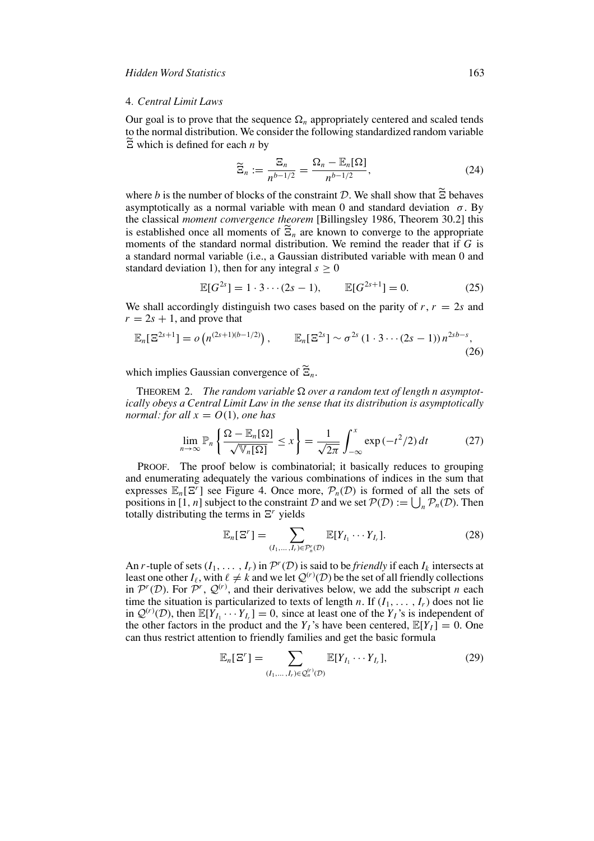#### 4*. Central Limit Laws*

Our goal is to prove that the sequence  $\Omega_n$  appropriately centered and scaled tends to the normal distribution. We consider the following standardized random variable  $\widetilde{E}$  which is defined for each *n* by

$$
\widetilde{\Xi}_n := \frac{\Xi_n}{n^{b-1/2}} = \frac{\Omega_n - \mathbb{E}_n[\Omega]}{n^{b-1/2}},\tag{24}
$$

where *b* is the number of blocks of the constraint  $D$ . We shall show that  $\widetilde{E}$  behaves asymptotically as a normal variable with mean 0 and standard deviation  $\sigma$ . By the classical *moment convergence theorem* [Billingsley 1986, Theorem 30.2] this is established once all moments of  $E_n$  are known to converge to the appropriate moments of the standard normal distribution. We remind the reader that if *G* is a standard normal variable (i.e., a Gaussian distributed variable with mean 0 and standard deviation 1), then for any integral  $s > 0$ 

$$
\mathbb{E}[G^{2s}] = 1 \cdot 3 \cdots (2s - 1), \qquad \mathbb{E}[G^{2s+1}] = 0.
$$
 (25)

We shall accordingly distinguish two cases based on the parity of  $r, r = 2s$  and  $r = 2s + 1$ , and prove that

$$
\mathbb{E}_n[\Xi^{2s+1}] = o\left(n^{(2s+1)(b-1/2)}\right), \qquad \mathbb{E}_n[\Xi^{2s}] \sim \sigma^{2s} \left(1 \cdot 3 \cdots (2s-1)\right) n^{2sb-s}, \tag{26}
$$

which implies Gaussian convergence of  $\widetilde{\Xi}_n$ .

THEOREM 2. The random variable  $\Omega$  over a random text of length n asymptot*ically obeys a Central Limit Law in the sense that its distribution is asymptotically normal: for all*  $x = O(1)$ *, one has* 

$$
\lim_{n \to \infty} \mathbb{P}_n \left\{ \frac{\Omega - \mathbb{E}_n[\Omega]}{\sqrt{\mathbb{V}_n[\Omega]}} \le x \right\} = \frac{1}{\sqrt{2\pi}} \int_{-\infty}^x \exp\left(-t^2/2\right) dt \tag{27}
$$

PROOF. The proof below is combinatorial; it basically reduces to grouping and enumerating adequately the various combinations of indices in the sum that expresses  $\mathbb{E}_n[\Xi^r]$  see Figure 4. Once more,  $\mathcal{P}_n(\mathcal{D})$  is formed of all the sets of positions in [1, *n*] subject to the constraint D and we set  $P(D) := \bigcup_n P_n(D)$ . Then totally distributing the terms in  $\Xi^r$  yields

$$
\mathbb{E}_n[\Xi^r] = \sum_{(I_1,\ldots,I_r)\in\mathcal{P}_n^r(\mathcal{D})} \mathbb{E}[Y_{I_1}\cdots Y_{I_r}].
$$
\n(28)

An *r*-tuple of sets  $(I_1, \ldots, I_r)$  in  $\mathcal{P}^r(\mathcal{D})$  is said to be *friendly* if each  $I_k$  intersects at least one other  $I_{\ell}$ , with  $\ell \neq k$  and we let  $\mathcal{Q}^{(r)}(\mathcal{D})$  be the set of all friendly collections in  $\mathcal{P}^r(\mathcal{D})$ . For  $\mathcal{P}^r$ ,  $\mathcal{Q}^{(r)}$ , and their derivatives below, we add the subscript *n* each time the situation is particularized to texts of length *n*. If  $(I_1, \ldots, I_r)$  does not lie in  $\mathcal{Q}^{(r)}(\mathcal{D})$ , then  $\mathbb{E}[Y_{I_1} \cdots Y_{I_r}] = 0$ , since at least one of the  $Y_I$ 's is independent of the other factors in the product and the  $Y_I$ 's have been centered,  $\mathbb{E}[Y_I] = 0$ . One can thus restrict attention to friendly families and get the basic formula

$$
\mathbb{E}_n[\Xi^r] = \sum_{(I_1,\ldots,I_r)\in\mathcal{Q}_n^{(r)}(\mathcal{D})} \mathbb{E}[Y_{I_1}\cdots Y_{I_r}],\tag{29}
$$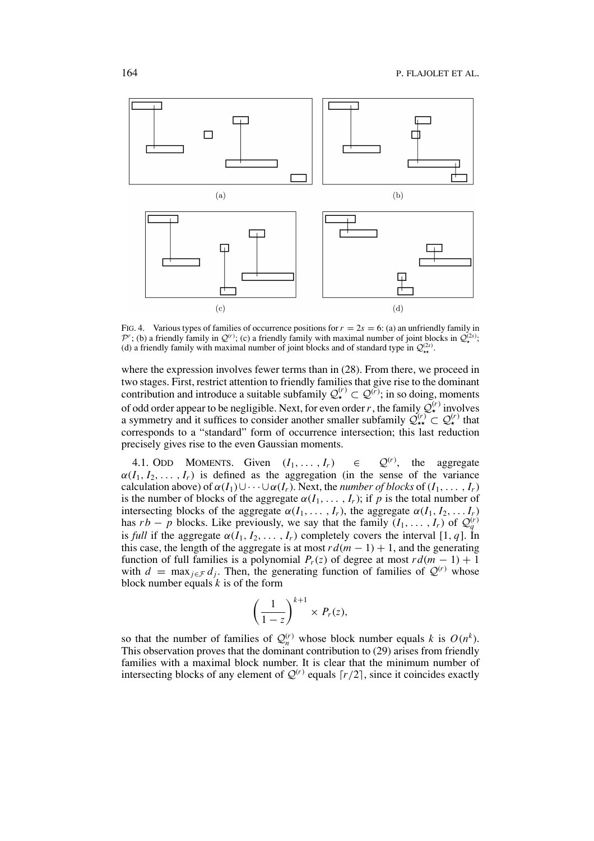

FIG. 4. Various types of families of occurrence positions for  $r = 2s = 6$ : (a) an unfriendly family in  $\mathcal{P}^r$ ; (b) a friendly family in  $\mathcal{Q}^{(r)}$ ; (c) a friendly family with maximal number of joint blocks in  $\mathcal{Q}^{(2s)}$ ; (d) a friendly family with maximal number of joint blocks and of standard type in  $Q_{\star\star}^{(2s)}$ .

where the expression involves fewer terms than in (28). From there, we proceed in two stages. First, restrict attention to friendly families that give rise to the dominant contribution and introduce a suitable subfamily  $\mathcal{Q}_{\star}^{(r)} \subset \mathcal{Q}_{\star}^{(r)}$ ; in so doing, moments of odd order appear to be negligible. Next, for even order r, the family  $Q_r^{(r)}$  involves a symmetry and it suffices to consider another smaller subfamily  $Q_{\star\star}^{(r)} \subset Q_{\star}^{(r)}$  that corresponds to a "standard" form of occurrence intersection; this last reduction precisely gives rise to the even Gaussian moments.

4.1. ODD MOMENTS. Given  $(I_1, \ldots, I_r)$   $\in$  $Q^{(r)}$ , the aggregate  $\alpha(I_1, I_2, \ldots, I_r)$  is defined as the aggregation (in the sense of the variance calculation above) of  $\alpha(I_1) \cup \cdots \cup \alpha(I_r)$ . Next, the *number of blocks* of  $(I_1, \ldots, I_r)$ is the number of blocks of the aggregate  $\alpha(I_1, \ldots, I_r)$ ; if *p* is the total number of intersecting blocks of the aggregate  $\alpha(I_1, \ldots, I_r)$ , the aggregate  $\alpha(I_1, I_2, \ldots, I_r)$ has *rb* − *p* blocks. Like previously, we say that the family  $(I_1, \ldots, I_r)$  of  $\mathcal{Q}_q^{(r)}$ is *full* if the aggregate  $\alpha(I_1, I_2, \ldots, I_r)$  completely covers the interval [1, *q*]. In this case, the length of the aggregate is at most  $rd(m - 1) + 1$ , and the generating function of full families is a polynomial  $P_r(z)$  of degree at most  $rd(m-1)+1$ with  $d = \max_{j \in \mathcal{F}} d_j$ . Then, the generating function of families of  $\mathcal{Q}^{(r)}$  whose block number equals  $k$  is of the form

$$
\left(\frac{1}{1-z}\right)^{k+1}\times P_r(z),
$$

so that the number of families of  $Q_n^{(r)}$  whose block number equals *k* is  $O(n^k)$ . This observation proves that the dominant contribution to (29) arises from friendly families with a maximal block number. It is clear that the minimum number of intersecting blocks of any element of  $Q<sup>(r)</sup>$  equals  $\lceil r/2 \rceil$ , since it coincides exactly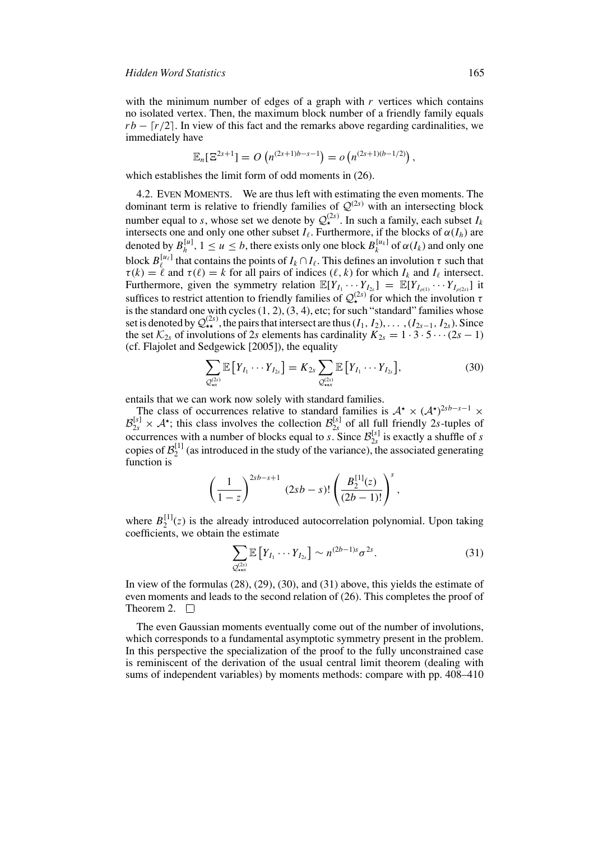with the minimum number of edges of a graph with  $r$  vertices which contains no isolated vertex. Then, the maximum block number of a friendly family equals  $rb - \lceil r/2 \rceil$ . In view of this fact and the remarks above regarding cardinalities, we immediately have

$$
\mathbb{E}_n[\Xi^{2s+1}] = O\left(n^{(2s+1)b-s-1}\right) = o\left(n^{(2s+1)(b-1/2)}\right),
$$

which establishes the limit form of odd moments in (26).

4.2. EVEN MOMENTS. We are thus left with estimating the even moments. The dominant term is relative to friendly families of  $Q^{(2s)}$  with an intersecting block number equal to *s*, whose set we denote by  $Q_{\star}^{(2s)}$ . In such a family, each subset  $I_k$ intersects one and only one other subset  $I_{\ell}$ . Furthermore, if the blocks of  $\alpha(I_h)$  are denoted by  $B_h^{[u]}$ ,  $1 \le u \le b$ , there exists only one block  $B_k^{[u_k]}$  of  $\alpha(I_k)$  and only one block  $B_{\ell}^{[u_{\ell}]}$  that contains the points of  $I_k \cap I_{\ell}$ . This defines an involution  $\tau$  such that  $\tau(k) = \ell$  and  $\tau(\ell) = k$  for all pairs of indices  $(\ell, k)$  for which  $I_k$  and  $I_\ell$  intersect. Furthermore, given the symmetry relation  $\mathbb{E}[Y_{I_1} \cdots Y_{I_{2s}}] = \mathbb{E}[Y_{I_{\rho(1)}} \cdots Y_{I_{\rho(2s)}}]$  it suffices to restrict attention to friendly families of  $Q_{\star}^{(2s)}$  for which the involution  $\tau$ is the standard one with cycles  $(1, 2)$ ,  $(3, 4)$ , etc; for such "standard" families whose set is denoted by  $Q_{**}^{(2s)}$ , the pairs that intersect are thus  $(I_1, I_2), \ldots, (I_{2s-1}, I_{2s})$ . Since the set  $\mathcal{K}_{2s}$  of involutions of 2*s* elements has cardinality  $K_{2s} = 1 \cdot 3 \cdot 5 \cdots (2s - 1)$ (cf. Flajolet and Sedgewick [2005]), the equality

$$
\sum_{Q_{\star n}^{(2s)}} \mathbb{E}\left[Y_{I_1} \cdots Y_{I_{2s}}\right] = K_{2s} \sum_{Q_{\star n}^{(2s)}} \mathbb{E}\left[Y_{I_1} \cdots Y_{I_{2s}}\right],\tag{30}
$$

entails that we can work now solely with standard families.

The class of occurrences relative to standard families is  $A^* \times (A^*)^{2sb-s-1} \times$  $\mathcal{B}_{2s}^{[s]} \times \mathcal{A}^*$ ; this class involves the collection  $\mathcal{B}_{2s}^{[s]}$  of all full friendly 2*s*-tuples of occurrences with a number of blocks equal to *s*. Since  $\mathcal{B}_{2s}^{[s]}$  is exactly a shuffle of *s* copies of  $\mathcal{B}_2^{[1]}$  (as introduced in the study of the variance), the associated generating function is

$$
\left(\frac{1}{1-z}\right)^{2sb-s+1} (2sb-s)! \left(\frac{B_2^{[1]}(z)}{(2b-1)!}\right)^s,
$$

where  $B_2^{[1]}(z)$  is the already introduced autocorrelation polynomial. Upon taking coefficients, we obtain the estimate

$$
\sum_{\mathcal{Q}_{\star n}^{(2s)}} \mathbb{E}\left[Y_{I_1} \cdots Y_{I_{2s}}\right] \sim n^{(2b-1)s} \sigma^{2s}.
$$
 (31)

In view of the formulas (28), (29), (30), and (31) above, this yields the estimate of even moments and leads to the second relation of (26). This completes the proof of Theorem 2.  $\square$ 

The even Gaussian moments eventually come out of the number of involutions, which corresponds to a fundamental asymptotic symmetry present in the problem. In this perspective the specialization of the proof to the fully unconstrained case is reminiscent of the derivation of the usual central limit theorem (dealing with sums of independent variables) by moments methods: compare with pp. 408–410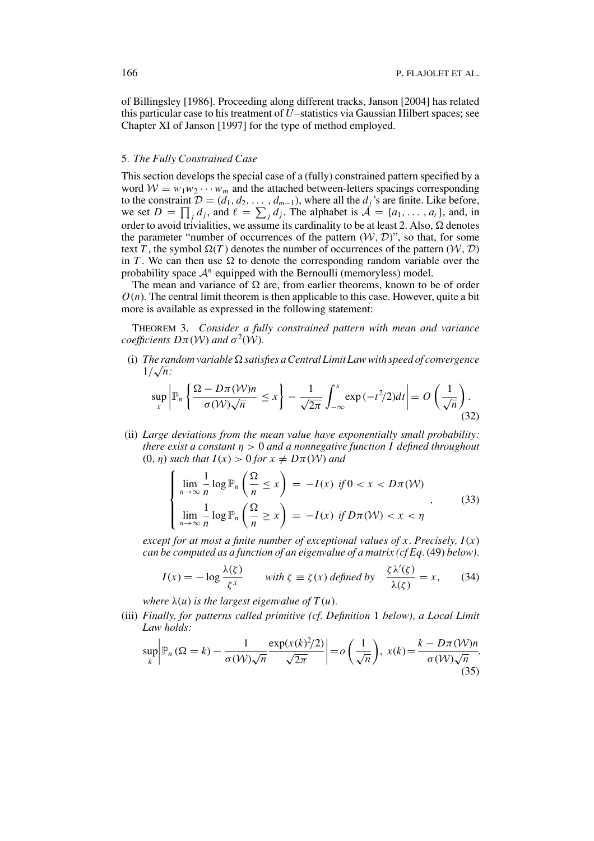of Billingsley [1986]. Proceeding along different tracks, Janson [2004] has related this particular case to his treatment of *U*–statistics via Gaussian Hilbert spaces; see Chapter XI of Janson [1997] for the type of method employed.

## 5*. The Fully Constrained Case*

This section develops the special case of a (fully) constrained pattern specified by a word  $W = w_1 w_2 \cdots w_m$  and the attached between-letters spacings corresponding to the constraint  $\mathcal{D} = (d_1, d_2, \dots, d_{m-1})$ , where all the  $d_j$ 's are finite. Like before, we set  $D = \prod_j d_j$ , and  $\ell = \sum_j d_j$ . The alphabet is  $\mathcal{A} = \{a_1, \dots, a_r\}$ , and, in order to avoid trivialities, we assume its cardinality to be at least 2. Also,  $\Omega$  denotes the parameter "number of occurrences of the pattern  $(W, D)$ ", so that, for some text *T*, the symbol  $\Omega(T)$  denotes the number of occurrences of the pattern  $(W, D)$ in *T*. We can then use  $\Omega$  to denote the corresponding random variable over the probability space  $A<sup>n</sup>$  equipped with the Bernoulli (memoryless) model.

The mean and variance of  $\Omega$  are, from earlier theorems, known to be of order  $O(n)$ . The central limit theorem is then applicable to this case. However, quite a bit more is available as expressed in the following statement:

THEOREM 3. *Consider a fully constrained pattern with mean and variance coefficients*  $D\pi(W)$  *and*  $\sigma^2(W)$ *.* 

(i) *The random variable*  $\Omega$  *satisfies a Central Limit Law with speed of convergence 1 ne rai<br>1/√n:* 

$$
\sup_{x} \left| \mathbb{P}_{n} \left\{ \frac{\Omega - D\pi(\mathcal{W})n}{\sigma(\mathcal{W})\sqrt{n}} \leq x \right\} - \frac{1}{\sqrt{2\pi}} \int_{-\infty}^{x} \exp\left(-t^{2}/2\right) dt \right| = O\left(\frac{1}{\sqrt{n}}\right).
$$
\n(32)

(ii) *Large deviations from the mean value have exponentially small probability: there exist a constant* η > 0 *and a nonnegative function I defined throughout*  $(0, \eta)$  *such that*  $I(x) > 0$  *for*  $x \neq D\pi(W)$  *and* 

$$
\begin{cases}\n\lim_{n \to \infty} \frac{1}{n} \log \mathbb{P}_n \left( \frac{\Omega}{n} \le x \right) = -I(x) \text{ if } 0 < x < D\pi(\mathcal{W}) \\
\lim_{n \to \infty} \frac{1}{n} \log \mathbb{P}_n \left( \frac{\Omega}{n} \ge x \right) = -I(x) \text{ if } D\pi(\mathcal{W}) < x < \eta\n\end{cases} \tag{33}
$$

*except for at most a finite number of exceptional values of x. Precisely, I*(*x*) *can be computed as a function of an eigenvalue of a matrix (cf Eq.* (49) *below).*

$$
I(x) = -\log \frac{\lambda(\zeta)}{\zeta^x} \qquad \text{with } \zeta \equiv \zeta(x) \text{ defined by } \frac{\zeta \lambda'(\zeta)}{\lambda(\zeta)} = x, \qquad (34)
$$

*where*  $\lambda(u)$  *is the largest eigenvalue of*  $T(u)$ *.* 

(iii) *Finally, for patterns called primitive (cf. Definition* 1 *below), a Local Limit Law holds:*

$$
\sup_{k} \left| \mathbb{P}_{n} \left( \Omega = k \right) - \frac{1}{\sigma(\mathcal{W})\sqrt{n}} \frac{\exp(x(k)^{2}/2)}{\sqrt{2\pi}} \right| = o\left(\frac{1}{\sqrt{n}}\right), \ x(k) = \frac{k - D\pi(\mathcal{W})n}{\sigma(\mathcal{W})\sqrt{n}}.\tag{35}
$$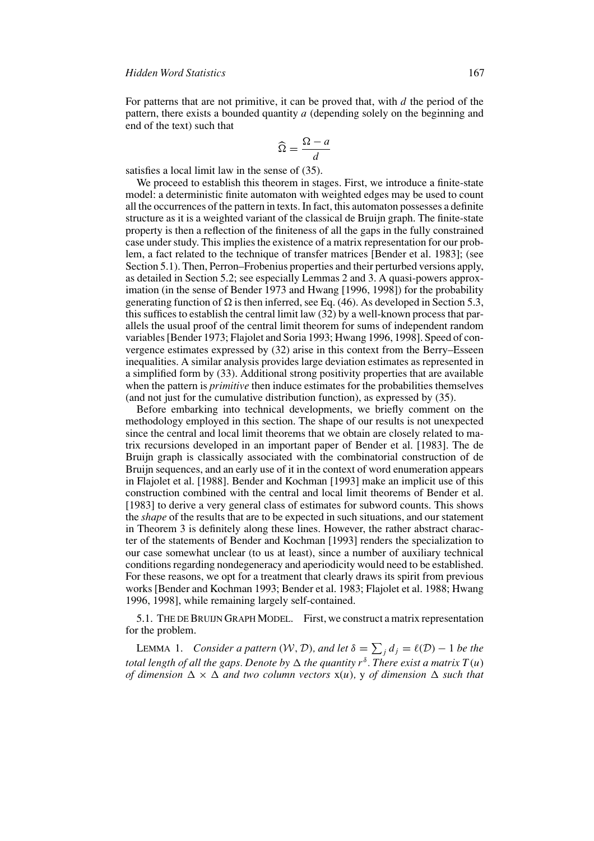For patterns that are not primitive, it can be proved that, with *d* the period of the pattern, there exists a bounded quantity *a* (depending solely on the beginning and end of the text) such that

$$
\widehat{\Omega} = \frac{\Omega - a}{d}
$$

satisfies a local limit law in the sense of (35).

We proceed to establish this theorem in stages. First, we introduce a finite-state model: a deterministic finite automaton with weighted edges may be used to count all the occurrences of the pattern in texts. In fact, this automaton possesses a definite structure as it is a weighted variant of the classical de Bruijn graph. The finite-state property is then a reflection of the finiteness of all the gaps in the fully constrained case under study. This implies the existence of a matrix representation for our problem, a fact related to the technique of transfer matrices [Bender et al. 1983]; (see Section 5.1). Then, Perron–Frobenius properties and their perturbed versions apply, as detailed in Section 5.2; see especially Lemmas 2 and 3. A quasi-powers approximation (in the sense of Bender 1973 and Hwang [1996, 1998]) for the probability generating function of  $\Omega$  is then inferred, see Eq. (46). As developed in Section 5.3, this suffices to establish the central limit law (32) by a well-known process that parallels the usual proof of the central limit theorem for sums of independent random variables [Bender 1973; Flajolet and Soria 1993; Hwang 1996, 1998]. Speed of convergence estimates expressed by (32) arise in this context from the Berry–Esseen inequalities. A similar analysis provides large deviation estimates as represented in a simplified form by (33). Additional strong positivity properties that are available when the pattern is *primitive* then induce estimates for the probabilities themselves (and not just for the cumulative distribution function), as expressed by (35).

Before embarking into technical developments, we briefly comment on the methodology employed in this section. The shape of our results is not unexpected since the central and local limit theorems that we obtain are closely related to matrix recursions developed in an important paper of Bender et al. [1983]. The de Bruijn graph is classically associated with the combinatorial construction of de Bruijn sequences, and an early use of it in the context of word enumeration appears in Flajolet et al. [1988]. Bender and Kochman [1993] make an implicit use of this construction combined with the central and local limit theorems of Bender et al. [1983] to derive a very general class of estimates for subword counts. This shows the *shape* of the results that are to be expected in such situations, and our statement in Theorem 3 is definitely along these lines. However, the rather abstract character of the statements of Bender and Kochman [1993] renders the specialization to our case somewhat unclear (to us at least), since a number of auxiliary technical conditions regarding nondegeneracy and aperiodicity would need to be established. For these reasons, we opt for a treatment that clearly draws its spirit from previous works [Bender and Kochman 1993; Bender et al. 1983; Flajolet et al. 1988; Hwang 1996, 1998], while remaining largely self-contained.

5.1. THE DEBRUIJN GRAPH MODEL. First, we construct a matrix representation for the problem.

LEMMA 1. *Consider a pattern*  $(W, D)$ *, and let*  $\delta = \sum_j d_j = \ell(D) - 1$  *be the total length of all the gaps. Denote by*  $\Delta$  *the quantity r*<sup> $\delta$ </sup>*. There exist a matrix T(u) of dimension*  $\Delta \times \Delta$  *and two column vectors*  $\mathbf{x}(u)$ *, y of dimension*  $\Delta$  *such that*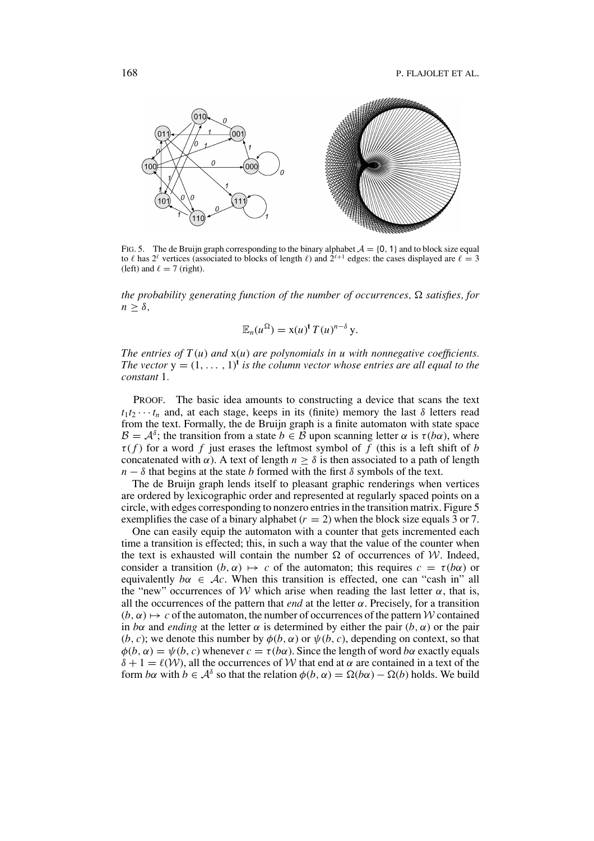

FIG. 5. The de Bruijn graph corresponding to the binary alphabet  $A = \{0, 1\}$  and to block size equal to  $\ell$  has  $2^{\ell}$  vertices (associated to blocks of length  $\ell$ ) and  $2^{\ell+1}$  edges: the cases displayed are  $\ell = 3$ (left) and  $\ell = 7$  (right).

*the probability generating function of the number of occurrences,*  $\Omega$  *satisfies, for*  $n > \delta$ ,

$$
\mathbb{E}_n(u^{\Omega}) = \mathbf{x}(u)^{\mathbf{t}} T(u)^{n-\delta} \mathbf{y}.
$$

*The entries of T* (*u*) *and* x(*u*) *are polynomials in u with nonnegative coefficients. The vector*  $y = (1, \ldots, 1)^t$  *is the column vector whose entries are all equal to the constant* 1*.*

PROOF. The basic idea amounts to constructing a device that scans the text  $t_1 t_2 \cdots t_n$  and, at each stage, keeps in its (finite) memory the last  $\delta$  letters read from the text. Formally, the de Bruijn graph is a finite automaton with state space  $B = A^{\delta}$ ; the transition from a state  $b \in B$  upon scanning letter  $\alpha$  is  $\tau(b\alpha)$ , where  $\tau(f)$  for a word f just erases the leftmost symbol of f (this is a left shift of b concatenated with  $\alpha$ ). A text of length  $n \geq \delta$  is then associated to a path of length *n* −  $\delta$  that begins at the state *b* formed with the first  $\delta$  symbols of the text.

The de Bruijn graph lends itself to pleasant graphic renderings when vertices are ordered by lexicographic order and represented at regularly spaced points on a circle, with edges corresponding to nonzero entries in the transition matrix. Figure 5 exemplifies the case of a binary alphabet  $(r = 2)$  when the block size equals 3 or 7.

One can easily equip the automaton with a counter that gets incremented each time a transition is effected; this, in such a way that the value of the counter when the text is exhausted will contain the number  $\Omega$  of occurrences of W. Indeed, consider a transition  $(b, \alpha) \mapsto c$  of the automaton; this requires  $c = \tau(b\alpha)$  or equivalently  $b\alpha \in \mathcal{A}c$ . When this transition is effected, one can "cash in" all the "new" occurrences of W which arise when reading the last letter  $\alpha$ , that is, all the occurrences of the pattern that *end* at the letter  $\alpha$ . Precisely, for a transition  $(b, \alpha) \mapsto c$  of the automaton, the number of occurrences of the pattern W contained in *b* $\alpha$  and *ending* at the letter  $\alpha$  is determined by either the pair  $(b, \alpha)$  or the pair (*b*, *c*); we denote this number by  $\phi(b, \alpha)$  or  $\psi(b, c)$ , depending on context, so that  $\phi(b, \alpha) = \psi(b, c)$  whenever  $c = \tau(b\alpha)$ . Since the length of word *b* $\alpha$  exactly equals  $\delta + 1 = \ell(\mathcal{W})$ , all the occurrences of W that end at  $\alpha$  are contained in a text of the form *b*α with  $b \in A^{\delta}$  so that the relation  $\phi(b, \alpha) = \Omega(b\alpha) - \Omega(b)$  holds. We build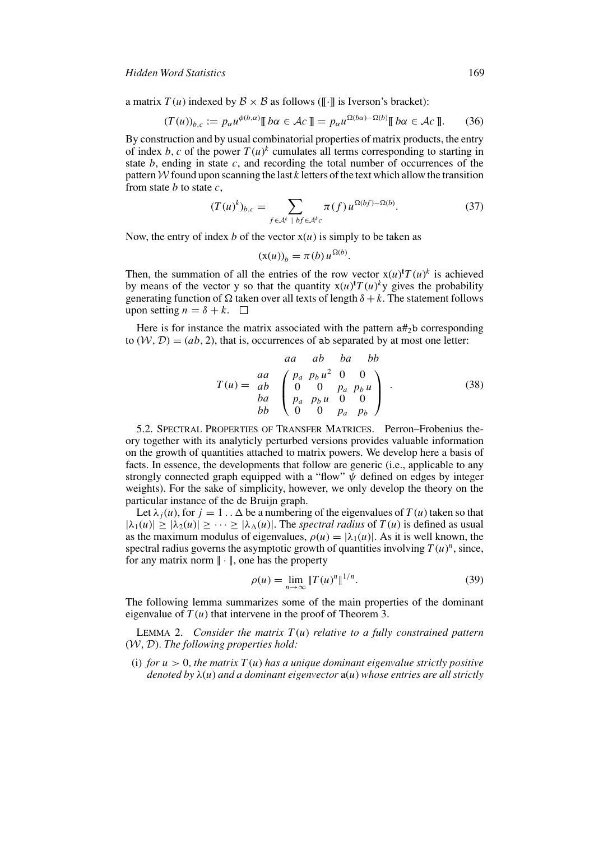a matrix  $T(u)$  indexed by  $\mathcal{B} \times \mathcal{B}$  as follows ([[·]] is Iverson's bracket):

$$
(T(u))_{b,c} := p_{\alpha}u^{\phi(b,\alpha)}[\![\]b\alpha \in \mathcal{A}c]\!] = p_{\alpha}u^{\Omega(b\alpha)-\Omega(b)}[\![\]b\alpha \in \mathcal{A}c]\!]\!].\tag{36}
$$

By construction and by usual combinatorial properties of matrix products, the entry of index *b*, *c* of the power  $T(u)^k$  cumulates all terms corresponding to starting in state  $b$ , ending in state  $c$ , and recording the total number of occurrences of the pattern  $W$  found upon scanning the last  $k$  letters of the text which allow the transition from state *b* to state *c*,

$$
(T(u)^{k})_{b,c} = \sum_{f \in A^{k} \mid bf \in A^{k}c} \pi(f) u^{\Omega(bf) - \Omega(b)}.
$$
 (37)

Now, the entry of index *b* of the vector  $x(u)$  is simply to be taken as

$$
(\mathbf{x}(u))_b = \pi(b) u^{\Omega(b)}.
$$

Then, the summation of all the entries of the row vector  $x(u)^{t}T(u)^{k}$  is achieved by means of the vector y so that the quantity  $x(u)^{t}T(u)^{k}y$  gives the probability generating function of  $\Omega$  taken over all texts of length  $\delta + k$ . The statement follows upon setting  $n = \delta + k$ .  $\Box$ 

Here is for instance the matrix associated with the pattern  $a\ddot{t}_2b$  corresponding to  $(W, D) = (ab, 2)$ , that is, occurrences of ab separated by at most one letter:

$$
T(u) = \begin{pmatrix} aa & ab & ba & bb \\ ab & \begin{pmatrix} p_a & p_b u^2 & 0 & 0 \\ 0 & 0 & p_a & p_b u \\ ba & \begin{pmatrix} p_a & p_b u & 0 & 0 \\ 0 & 0 & p_a & p_b \end{pmatrix} \end{pmatrix} . \tag{38}
$$

5.2. SPECTRAL PROPERTIES OF TRANSFER MATRICES. Perron–Frobenius theory together with its analyticly perturbed versions provides valuable information on the growth of quantities attached to matrix powers. We develop here a basis of facts. In essence, the developments that follow are generic (i.e., applicable to any strongly connected graph equipped with a "flow"  $\psi$  defined on edges by integer weights). For the sake of simplicity, however, we only develop the theory on the particular instance of the de Bruijn graph.

Let  $\lambda_i(u)$ , for  $j = 1$ .  $\Delta$  be a numbering of the eigenvalues of  $T(u)$  taken so that  $|\lambda_1(u)| \geq |\lambda_2(u)| \geq \cdots \geq |\lambda_{\Lambda}(u)|$ . The *spectral radius* of  $T(u)$  is defined as usual as the maximum modulus of eigenvalues,  $\rho(u) = |\lambda_1(u)|$ . As it is well known, the spectral radius governs the asymptotic growth of quantities involving  $T(u)^n$ , since, for any matrix norm  $\|\cdot\|$ , one has the property

$$
\rho(u) = \lim_{n \to \infty} \|T(u)^n\|^{1/n}.
$$
 (39)

The following lemma summarizes some of the main properties of the dominant eigenvalue of  $T(u)$  that intervene in the proof of Theorem 3.

LEMMA 2. *Consider the matrix T* (*u*) *relative to a fully constrained pattern* (W, D)*. The following properties hold:*

(i) *for*  $u > 0$ *, the matrix*  $T(u)$  *has a unique dominant eigenvalue strictly positive denoted by* λ(*u*) *and a dominant eigenvector* a(*u*) *whose entries are all strictly*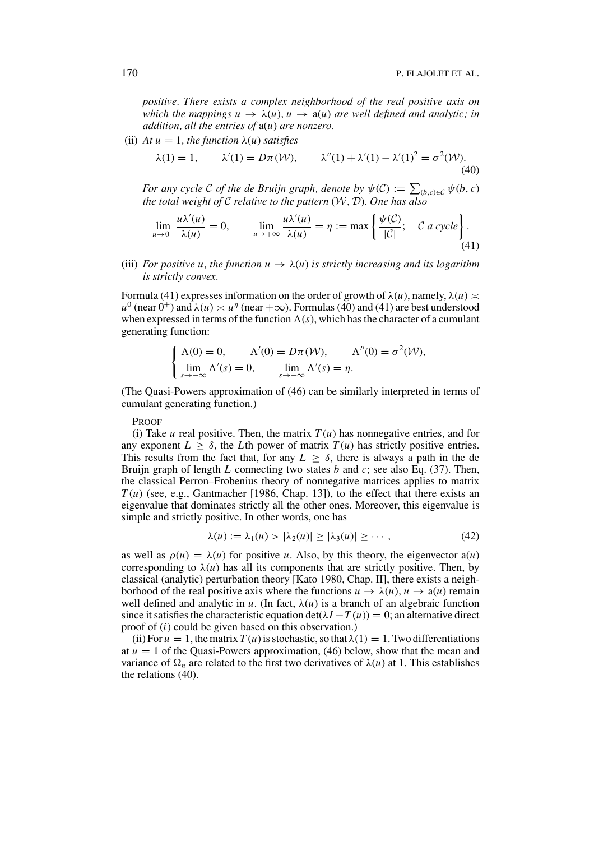*positive. There exists a complex neighborhood of the real positive axis on which the mappings*  $u \to \lambda(u)$ *,*  $u \to \lambda(u)$  *are well defined and analytic; in addition, all the entries of* a(*u*) *are nonzero.*

(ii)  $At u = 1$ , the function  $\lambda(u)$  satisfies

$$
\lambda(1) = 1,
$$
\n $\lambda'(1) = D\pi(\mathcal{W}),$ \n $\lambda''(1) + \lambda'(1) - \lambda'(1)^2 = \sigma^2(\mathcal{W}).$ \n(40)

*For any cycle* C *of the de Bruijn graph, denote by*  $\psi(C) := \sum_{(b,c)\in C} \psi(b,c)$ *the total weight of* C *relative to the pattern* (W, D)*. One has also*

$$
\lim_{u \to 0^+} \frac{u \lambda'(u)}{\lambda(u)} = 0, \qquad \lim_{u \to +\infty} \frac{u \lambda'(u)}{\lambda(u)} = \eta := \max \left\{ \frac{\psi(C)}{|C|}; \quad C \text{ a cycle} \right\}. \tag{41}
$$

(iii) *For positive u, the function*  $u \rightarrow \lambda(u)$  *is strictly increasing and its logarithm is strictly convex.*

Formula (41) expresses information on the order of growth of  $\lambda(u)$ , namely,  $\lambda(u) \approx$  $u^0$  (near  $0^+$ ) and  $\lambda(u) \approx u^{\eta}$  (near  $+\infty$ ). Formulas (40) and (41) are best understood when expressed in terms of the function  $\Lambda(s)$ , which has the character of a cumulant generating function:

$$
\begin{cases}\n\Lambda(0) = 0, & \Lambda'(0) = D\pi(\mathcal{W}), & \Lambda''(0) = \sigma^2(\mathcal{W}), \\
\lim_{s \to -\infty} \Lambda'(s) = 0, & \lim_{s \to +\infty} \Lambda'(s) = \eta.\n\end{cases}
$$

(The Quasi-Powers approximation of (46) can be similarly interpreted in terms of cumulant generating function.)

PROOF

(i) Take *u* real positive. Then, the matrix  $T(u)$  has nonnegative entries, and for any exponent  $L \geq \delta$ , the *L*th power of matrix  $T(u)$  has strictly positive entries. This results from the fact that, for any  $L > \delta$ , there is always a path in the de Bruijn graph of length *L* connecting two states *b* and *c*; see also Eq. (37). Then, the classical Perron–Frobenius theory of nonnegative matrices applies to matrix *T*(*u*) (see, e.g., Gantmacher [1986, Chap. 13]), to the effect that there exists an eigenvalue that dominates strictly all the other ones. Moreover, this eigenvalue is simple and strictly positive. In other words, one has

$$
\lambda(u) := \lambda_1(u) > |\lambda_2(u)| \ge |\lambda_3(u)| \ge \cdots,
$$
\n(42)

as well as  $\rho(u) = \lambda(u)$  for positive *u*. Also, by this theory, the eigenvector  $a(u)$ corresponding to  $\lambda(u)$  has all its components that are strictly positive. Then, by classical (analytic) perturbation theory [Kato 1980, Chap. II], there exists a neighborhood of the real positive axis where the functions  $u \to \lambda(u)$ ,  $u \to a(u)$  remain well defined and analytic in  $u$ . (In fact,  $\lambda(u)$  is a branch of an algebraic function since it satisfies the characteristic equation  $det(\lambda I - T(u)) = 0$ ; an alternative direct proof of (*i*) could be given based on this observation.)

(ii) For  $u = 1$ , the matrix  $T(u)$  is stochastic, so that  $\lambda(1) = 1$ . Two differentiations at  $u = 1$  of the Quasi-Powers approximation,  $(46)$  below, show that the mean and variance of  $\Omega_n$  are related to the first two derivatives of  $\lambda(u)$  at 1. This establishes the relations (40).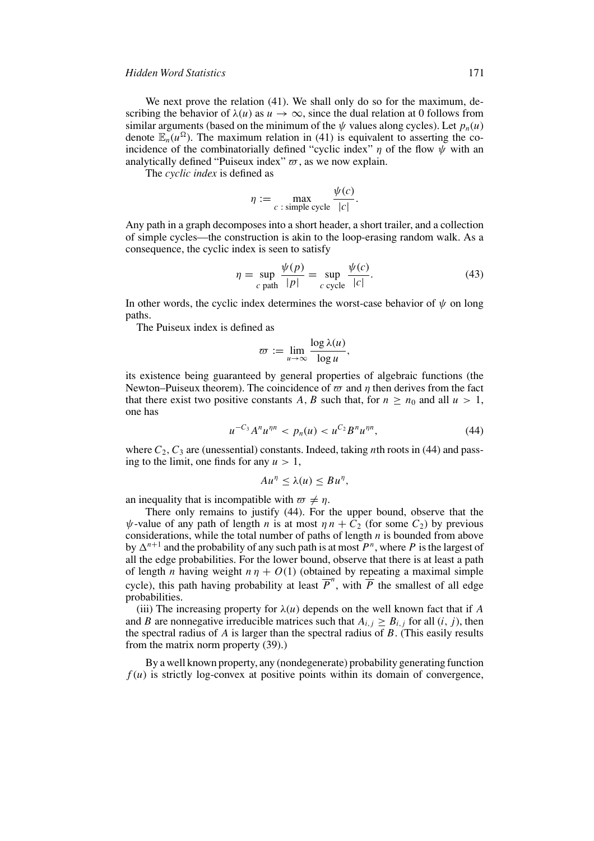We next prove the relation (41). We shall only do so for the maximum, describing the behavior of  $\lambda(u)$  as  $u \to \infty$ , since the dual relation at 0 follows from similar arguments (based on the minimum of the  $\psi$  values along cycles). Let  $p_n(u)$ denote  $\mathbb{E}_n(u^{\Omega})$ . The maximum relation in (41) is equivalent to asserting the coincidence of the combinatorially defined "cyclic index"  $\eta$  of the flow  $\psi$  with an analytically defined "Puiseux index"  $\varpi$ , as we now explain.

The *cyclic index* is defined as

$$
\eta := \max_{c \text{ : simple cycle}} \frac{\psi(c)}{|c|}.
$$

Any path in a graph decomposes into a short header, a short trailer, and a collection of simple cycles—the construction is akin to the loop-erasing random walk. As a consequence, the cyclic index is seen to satisfy

$$
\eta = \sup_{c \text{ path}} \frac{\psi(p)}{|p|} = \sup_{c \text{ cycle}} \frac{\psi(c)}{|c|}. \tag{43}
$$

In other words, the cyclic index determines the worst-case behavior of  $\psi$  on long paths.

The Puiseux index is defined as

$$
\varpi := \lim_{u \to \infty} \frac{\log \lambda(u)}{\log u},
$$

its existence being guaranteed by general properties of algebraic functions (the Newton–Puiseux theorem). The coincidence of  $\varpi$  and  $\eta$  then derives from the fact that there exist two positive constants A, B such that, for  $n \geq n_0$  and all  $u > 1$ , one has

$$
u^{-C_3} A^n u^{\eta n} < p_n(u) < u^{C_2} B^n u^{\eta n}, \tag{44}
$$

where  $C_2$ ,  $C_3$  are (unessential) constants. Indeed, taking *n*th roots in (44) and passing to the limit, one finds for any  $u > 1$ ,

$$
Au^{\eta} \leq \lambda(u) \leq Bu^{\eta},
$$

an inequality that is incompatible with  $\omega \neq \eta$ .

There only remains to justify (44). For the upper bound, observe that the  $\psi$ -value of any path of length *n* is at most  $\eta$  *n* +  $C_2$  (for some  $C_2$ ) by previous considerations, while the total number of paths of length *n* is bounded from above by  $\Delta^{n+1}$  and the probability of any such path is at most  $P^n$ , where P is the largest of all the edge probabilities. For the lower bound, observe that there is at least a path of length *n* having weight  $n \eta + O(1)$  (obtained by repeating a maximal simple cycle), this path having probability at least  $\overline{P}^n$ , with  $\overline{P}$  the smallest of all edge probabilities.

(iii) The increasing property for  $\lambda(u)$  depends on the well known fact that if *A* and *B* are nonnegative irreducible matrices such that  $A_{i,j} \geq B_{i,j}$  for all  $(i, j)$ , then the spectral radius of *A* is larger than the spectral radius of *B*. (This easily results from the matrix norm property (39).)

By a well known property, any (nondegenerate) probability generating function  $f(u)$  is strictly log-convex at positive points within its domain of convergence,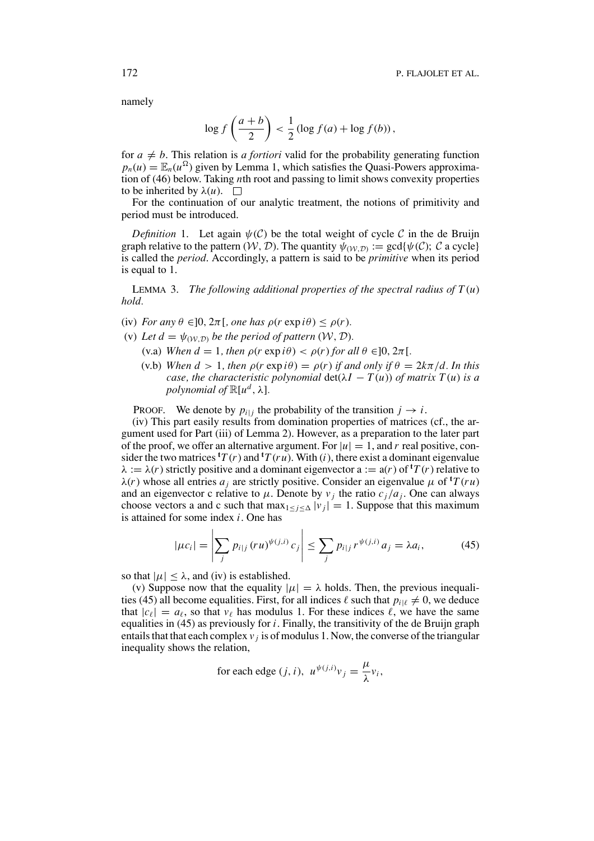namely

$$
\log f\left(\frac{a+b}{2}\right) < \frac{1}{2} \left(\log f(a) + \log f(b)\right),
$$

for  $a \neq b$ . This relation is *a fortiori* valid for the probability generating function  $p_n(u) = \mathbb{E}_n(u^{\Omega})$  given by Lemma 1, which satisfies the Quasi-Powers approximation of (46) below. Taking *n*th root and passing to limit shows convexity properties to be inherited by  $\lambda(u)$ .  $\square$ 

For the continuation of our analytic treatment, the notions of primitivity and period must be introduced.

*Definition* 1. Let again  $\psi(\mathcal{C})$  be the total weight of cycle  $\mathcal{C}$  in the de Bruijn graph relative to the pattern (W, D). The quantity  $\psi_{(W,D)} := \text{gcd}\{\psi(\mathcal{C}); \mathcal{C} \text{ a cycle}\}\$ is called the *period*. Accordingly, a pattern is said to be *primitive* when its period is equal to 1.

LEMMA 3. *The following additional properties of the spectral radius of*  $T(u)$ *hold.*

- (iv) *For any*  $\theta \in ]0, 2\pi[$ , *one has*  $\rho(r \exp i\theta) \leq \rho(r)$ .
- (v) Let  $d = \psi_{(W,D)}$  be the period of pattern  $(W, D)$ .
	- (v.a) *When d* = 1*, then*  $\rho(r \exp i\theta) < \rho(r)$  *for all*  $\theta \in ]0, 2\pi[$ *.*
	- (v.b) *When d* > 1*, then*  $\rho$ (*r* exp *i* $\theta$ ) =  $\rho$ (*r*) *if and only if*  $\theta$  =  $2k\pi/d$ *. In this case, the characteristic polynomial*  $det(\lambda I - T(u))$  *of matrix*  $T(u)$  *is a polynomial of*  $\mathbb{R}[u^d, \lambda]$ *.*

PROOF. We denote by  $p_{i|j}$  the probability of the transition  $j \rightarrow i$ .

(iv) This part easily results from domination properties of matrices (cf., the argument used for Part (iii) of Lemma 2). However, as a preparation to the later part of the proof, we offer an alternative argument. For  $|u| = 1$ , and r real positive, consider the two matrices  ${}^tT(r)$  and  ${}^tT(ru)$ . With (*i*), there exist a dominant eigenvalue  $\lambda := \lambda(r)$  strictly positive and a dominant eigenvector  $a := a(r)$  of  ${}^tT(r)$  relative to  $\lambda(r)$  whose all entries  $a_j$  are strictly positive. Consider an eigenvalue  $\mu$  of  ${}^tT(ru)$ and an eigenvector c relative to  $\mu$ . Denote by  $v_j$  the ratio  $c_j/a_j$ . One can always choose vectors a and c such that  $\max_{1 \leq j \leq \Delta} |v_j| = 1$ . Suppose that this maximum is attained for some index *i*. One has

$$
|\mu c_i| = \left| \sum_j p_{i|j} (ru)^{\psi(j,i)} c_j \right| \le \sum_j p_{i|j} r^{\psi(j,i)} a_j = \lambda a_i,
$$
 (45)

so that  $|\mu| < \lambda$ , and (iv) is established.

(v) Suppose now that the equality  $|\mu| = \lambda$  holds. Then, the previous inequalities (45) all become equalities. First, for all indices  $\ell$  such that  $p_{i|\ell} \neq 0$ , we deduce that  $|c_{\ell}| = a_{\ell}$ , so that  $v_{\ell}$  has modulus 1. For these indices  $\ell$ , we have the same equalities in (45) as previously for *i*. Finally, the transitivity of the de Bruijn graph entails that that each complex *v <sup>j</sup>* is of modulus 1. Now, the converse of the triangular inequality shows the relation,

for each edge 
$$
(j, i)
$$
,  $u^{\psi(j,i)}v_j = \frac{\mu}{\lambda}v_i$ ,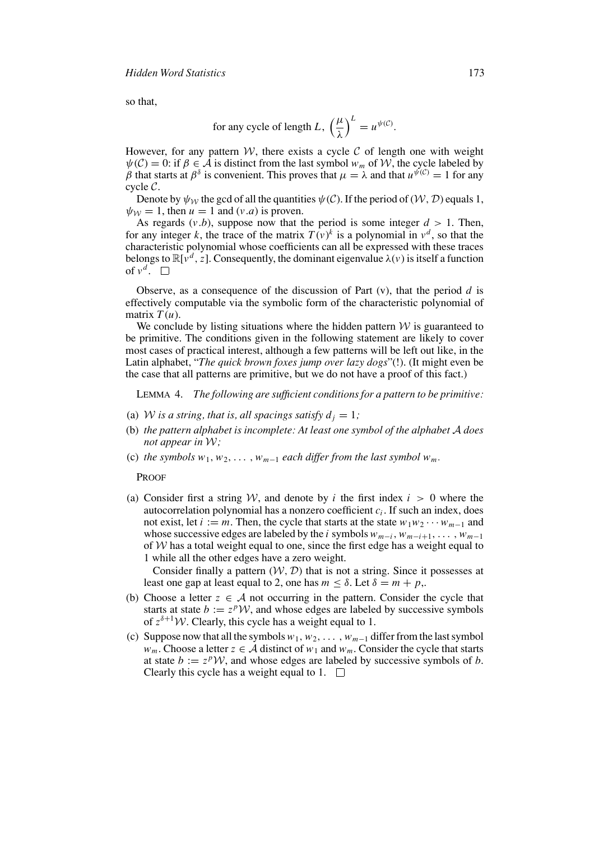so that,

for any cycle of length *L*, 
$$
\left(\frac{\mu}{\lambda}\right)^L = u^{\psi(\mathcal{C})}
$$
.

However, for any pattern  $W$ , there exists a cycle C of length one with weight  $\psi(\mathcal{C}) = 0$ : if  $\beta \in \overline{\mathcal{A}}$  is distinct from the last symbol  $w_m$  of W, the cycle labeled by β that starts at  $β^δ$  is convenient. This proves that  $μ = λ$  and that  $u^{ψ(C)} = 1$  for any cycle C.

Denote by  $\psi_W$  the gcd of all the quantities  $\psi(C)$ . If the period of  $(W, D)$  equals 1,  $\psi_{\mathcal{W}} = 1$ , then  $u = 1$  and  $(v.a)$  is proven.

As regards  $(v.b)$ , suppose now that the period is some integer  $d > 1$ . Then, for any integer k, the trace of the matrix  $T(v)^k$  is a polynomial in  $v^d$ , so that the characteristic polynomial whose coefficients can all be expressed with these traces belongs to  $\mathbb{R}[v^d, z]$ . Consequently, the dominant eigenvalue  $\lambda(v)$  is itself a function of  $v^d$ .  $\Box$ 

Observe, as a consequence of the discussion of Part (v), that the period *d* is effectively computable via the symbolic form of the characteristic polynomial of matrix  $T(u)$ .

We conclude by listing situations where the hidden pattern  $W$  is guaranteed to be primitive. The conditions given in the following statement are likely to cover most cases of practical interest, although a few patterns will be left out like, in the Latin alphabet, "*The quick brown foxes jump over lazy dogs*"(!). (It might even be the case that all patterns are primitive, but we do not have a proof of this fact.)

LEMMA 4. *The following are sufficient conditions for a pattern to be primitive:*

- (a) W is a string, that is, all spacings satisfy  $d_i = 1$ ;
- (b) *the pattern alphabet is incomplete: At least one symbol of the alphabet* A *does not appear in* W*;*
- (c) *the symbols*  $w_1, w_2, \ldots, w_{m-1}$  *each differ from the last symbol*  $w_m$ .

PROOF

(a) Consider first a string  $\mathcal{W}$ , and denote by *i* the first index  $i > 0$  where the autocorrelation polynomial has a nonzero coefficient *ci* . If such an index, does not exist, let *i* := *m*. Then, the cycle that starts at the state  $w_1w_2 \cdots w_{m-1}$  and whose successive edges are labeled by the *i* symbols  $w_{m-i}$ ,  $w_{m-i+1}$ , ...,  $w_{m-1}$ of  $W$  has a total weight equal to one, since the first edge has a weight equal to 1 while all the other edges have a zero weight.

Consider finally a pattern  $(W, D)$  that is not a string. Since it possesses at least one gap at least equal to 2, one has  $m \leq \delta$ . Let  $\delta = m + p$ ,.

- (b) Choose a letter  $z \in A$  not occurring in the pattern. Consider the cycle that starts at state  $b := z^p W$ , and whose edges are labeled by successive symbols of  $z^{\delta+1}$ *W*. Clearly, this cycle has a weight equal to 1.
- (c) Suppose now that all the symbols  $w_1, w_2, \ldots, w_{m-1}$  differ from the last symbol *w<sub>m</sub>*. Choose a letter  $z \in A$  distinct of  $w_1$  and  $w_m$ . Consider the cycle that starts at state  $b := z^p \mathcal{W}$ , and whose edges are labeled by successive symbols of *b*. Clearly this cycle has a weight equal to 1.  $\Box$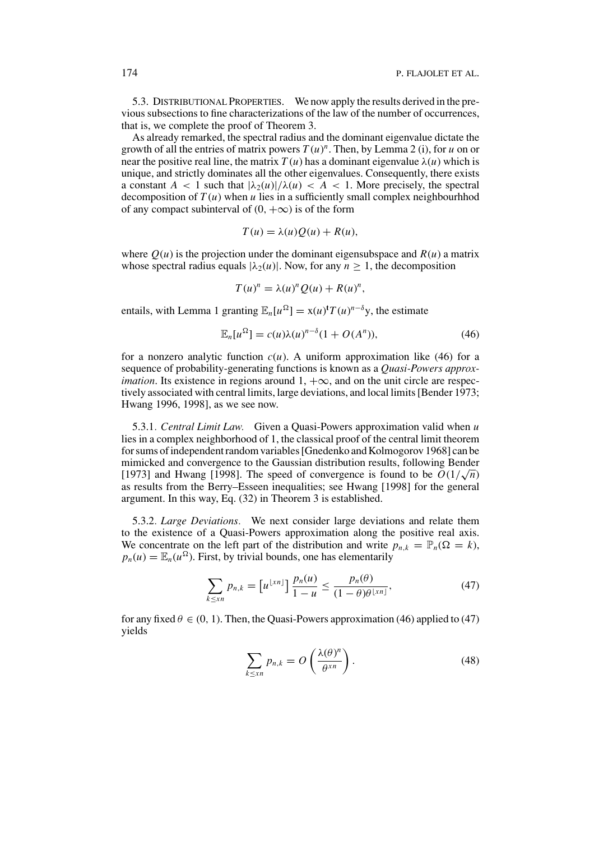5.3. DISTRIBUTIONAL PROPERTIES. We now apply the results derived in the previous subsections to fine characterizations of the law of the number of occurrences, that is, we complete the proof of Theorem 3.

As already remarked, the spectral radius and the dominant eigenvalue dictate the growth of all the entries of matrix powers  $T(u)^n$ . Then, by Lemma 2 (i), for *u* on or near the positive real line, the matrix  $T(u)$  has a dominant eigenvalue  $\lambda(u)$  which is unique, and strictly dominates all the other eigenvalues. Consequently, there exists a constant  $A < 1$  such that  $|\lambda_2(u)| / \lambda(u) < A < 1$ . More precisely, the spectral decomposition of  $T(u)$  when *u* lies in a sufficiently small complex neighbourhhod of any compact subinterval of  $(0, +\infty)$  is of the form

$$
T(u) = \lambda(u)Q(u) + R(u),
$$

where  $Q(u)$  is the projection under the dominant eigensubspace and  $R(u)$  a matrix whose spectral radius equals  $|\lambda_2(u)|$ . Now, for any  $n \ge 1$ , the decomposition

$$
T(u)^{n} = \lambda(u)^{n} Q(u) + R(u)^{n},
$$

entails, with Lemma 1 granting  $\mathbb{E}_n[u^{\Omega}] = x(u)^t T(u)^{n-\delta}y$ , the estimate

$$
\mathbb{E}_n[u^{\Omega}] = c(u)\lambda(u)^{n-\delta}(1 + O(A^n)),\tag{46}
$$

for a nonzero analytic function  $c(u)$ . A uniform approximation like (46) for a sequence of probability-generating functions is known as a *Quasi-Powers approximation*. Its existence in regions around  $1, +\infty$ , and on the unit circle are respectively associated with central limits, large deviations, and local limits [Bender 1973; Hwang 1996, 1998], as we see now.

5.3.1*. Central Limit Law.* Given a Quasi-Powers approximation valid when *u* lies in a complex neighborhood of 1, the classical proof of the central limit theorem for sums of independent random variables [Gnedenko and Kolmogorov 1968] can be mimicked and convergence to the Gaussian distribution results, following Bender mimicked and convergence to the Gaussian distribution results, following Bender [1973] and Hwang [1998]. The speed of convergence is found to be  $O(1/\sqrt{n})$ as results from the Berry–Esseen inequalities; see Hwang [1998] for the general argument. In this way, Eq. (32) in Theorem 3 is established.

5.3.2*. Large Deviations.* We next consider large deviations and relate them to the existence of a Quasi-Powers approximation along the positive real axis. We concentrate on the left part of the distribution and write  $p_{n,k} = \mathbb{P}_n(\Omega = k)$ ,  $p_n(u) = \mathbb{E}_n(u^{\Omega})$ . First, by trivial bounds, one has elementarily

$$
\sum_{k \leq xn} p_{n,k} = \left[ u^{\lfloor xn \rfloor} \right] \frac{p_n(u)}{1-u} \leq \frac{p_n(\theta)}{(1-\theta)\theta^{\lfloor xn \rfloor}},\tag{47}
$$

for any fixed  $\theta \in (0, 1)$ . Then, the Quasi-Powers approximation (46) applied to (47) yields

$$
\sum_{k \leq xn} p_{n,k} = O\left(\frac{\lambda(\theta)^n}{\theta^{xn}}\right).
$$
 (48)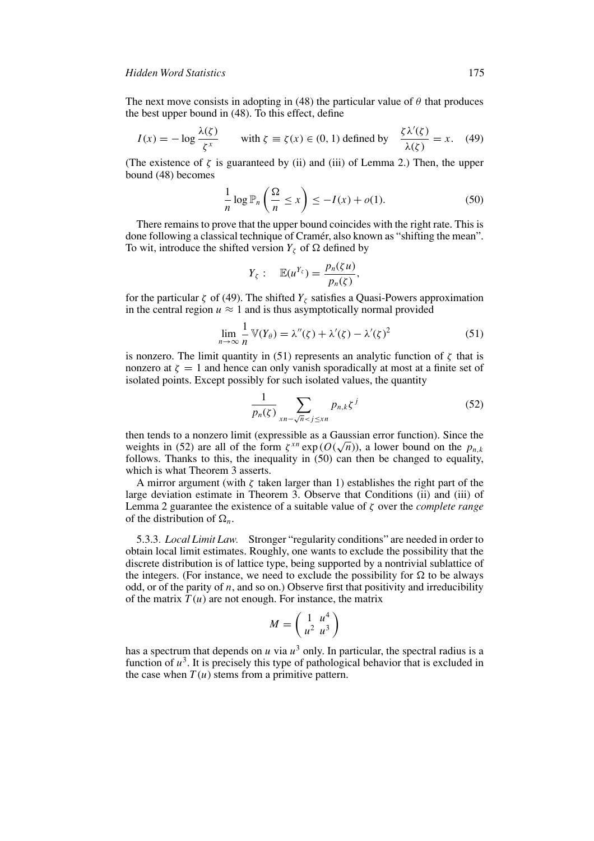The next move consists in adopting in (48) the particular value of  $\theta$  that produces the best upper bound in (48). To this effect, define

$$
I(x) = -\log \frac{\lambda(\zeta)}{\zeta^x} \quad \text{with } \zeta \equiv \zeta(x) \in (0, 1) \text{ defined by } \frac{\zeta \lambda'(\zeta)}{\lambda(\zeta)} = x. \tag{49}
$$

(The existence of  $\zeta$  is guaranteed by (ii) and (iii) of Lemma 2.) Then, the upper bound (48) becomes

$$
\frac{1}{n}\log \mathbb{P}_n\left(\frac{\Omega}{n}\leq x\right)\leq -I(x)+o(1). \tag{50}
$$

There remains to prove that the upper bound coincides with the right rate. This is done following a classical technique of Cramér, also known as "shifting the mean". To wit, introduce the shifted version  $Y_\zeta$  of  $\Omega$  defined by

$$
Y_{\zeta}: \mathbb{E}(u^{Y_{\zeta}})=\frac{p_n(\zeta u)}{p_n(\zeta)},
$$

for the particular  $\zeta$  of (49). The shifted  $Y_{\zeta}$  satisfies a Quasi-Powers approximation in the central region  $u \approx 1$  and is thus asymptotically normal provided

$$
\lim_{n \to \infty} \frac{1}{n} \mathbb{V}(Y_{\theta}) = \lambda''(\zeta) + \lambda'(\zeta) - \lambda'(\zeta)^2 \tag{51}
$$

is nonzero. The limit quantity in (51) represents an analytic function of  $\zeta$  that is nonzero at  $\zeta = 1$  and hence can only vanish sporadically at most at a finite set of isolated points. Except possibly for such isolated values, the quantity

$$
\frac{1}{p_n(\zeta)} \sum_{x_n - \sqrt{n} < j \leq x_n} p_{n,k} \zeta^j \tag{52}
$$

then tends to a nonzero limit (expressible as a Gaussian error function). Since the then tends to a nonzero limit (expressible as a Gaussian error function). Since the weights in (52) are all of the form  $\xi^{xn} \exp(O(\sqrt{n}))$ , a lower bound on the  $p_{n,k}$ follows. Thanks to this, the inequality in (50) can then be changed to equality, which is what Theorem 3 asserts.

A mirror argument (with  $\zeta$  taken larger than 1) establishes the right part of the large deviation estimate in Theorem 3. Observe that Conditions (ii) and (iii) of Lemma 2 guarantee the existence of a suitable value of ζ over the *complete range* of the distribution of  $\Omega_n$ .

5.3.3*. Local Limit Law.* Stronger "regularity conditions" are needed in order to obtain local limit estimates. Roughly, one wants to exclude the possibility that the discrete distribution is of lattice type, being supported by a nontrivial sublattice of the integers. (For instance, we need to exclude the possibility for  $\Omega$  to be always odd, or of the parity of *n*, and so on.) Observe first that positivity and irreducibility of the matrix  $T(u)$  are not enough. For instance, the matrix

$$
M = \left(\begin{array}{cc} 1 & u^4 \\ u^2 & u^3 \end{array}\right)
$$

has a spectrum that depends on  $u$  via  $u<sup>3</sup>$  only. In particular, the spectral radius is a function of  $u<sup>3</sup>$ . It is precisely this type of pathological behavior that is excluded in the case when  $T(u)$  stems from a primitive pattern.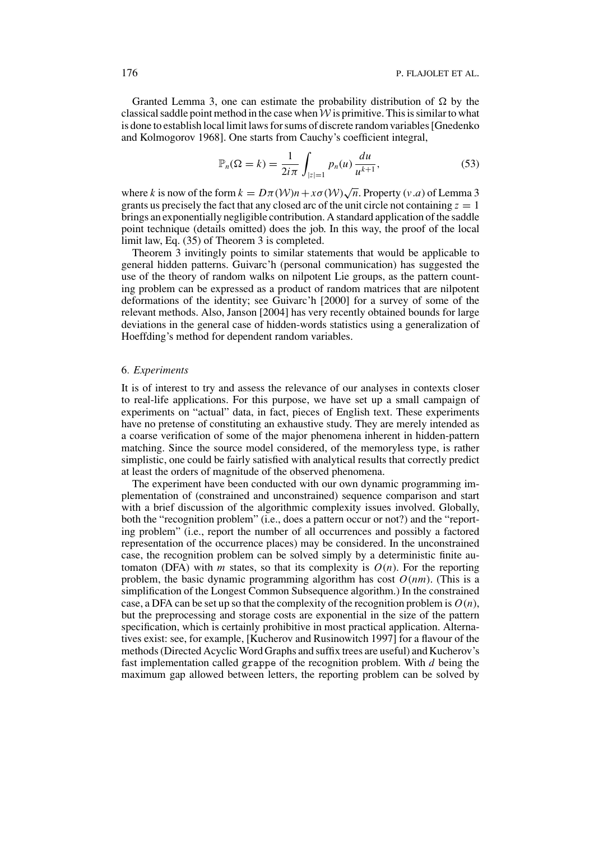Granted Lemma 3, one can estimate the probability distribution of  $\Omega$  by the classical saddle point method in the case when  $W$  is primitive. This is similar to what is done to establish local limit laws for sums of discrete random variables [Gnedenko and Kolmogorov 1968]. One starts from Cauchy's coefficient integral,

$$
\mathbb{P}_n(\Omega = k) = \frac{1}{2i\pi} \int_{|z|=1} p_n(u) \frac{du}{u^{k+1}},
$$
\n(53)

where *k* is now of the form  $k = D\pi(W)n + x\sigma(W)\sqrt{n}$ . Property (*v*.*a*) of Lemma 3 grants us precisely the fact that any closed arc of the unit circle not containing  $z = 1$ brings an exponentially negligible contribution. A standard application of the saddle point technique (details omitted) does the job. In this way, the proof of the local limit law, Eq. (35) of Theorem 3 is completed.

Theorem 3 invitingly points to similar statements that would be applicable to general hidden patterns. Guivarc'h (personal communication) has suggested the use of the theory of random walks on nilpotent Lie groups, as the pattern counting problem can be expressed as a product of random matrices that are nilpotent deformations of the identity; see Guivarc'h [2000] for a survey of some of the relevant methods. Also, Janson [2004] has very recently obtained bounds for large deviations in the general case of hidden-words statistics using a generalization of Hoeffding's method for dependent random variables.

### 6*. Experiments*

It is of interest to try and assess the relevance of our analyses in contexts closer to real-life applications. For this purpose, we have set up a small campaign of experiments on "actual" data, in fact, pieces of English text. These experiments have no pretense of constituting an exhaustive study. They are merely intended as a coarse verification of some of the major phenomena inherent in hidden-pattern matching. Since the source model considered, of the memoryless type, is rather simplistic, one could be fairly satisfied with analytical results that correctly predict at least the orders of magnitude of the observed phenomena.

The experiment have been conducted with our own dynamic programming implementation of (constrained and unconstrained) sequence comparison and start with a brief discussion of the algorithmic complexity issues involved. Globally, both the "recognition problem" (i.e., does a pattern occur or not?) and the "reporting problem" (i.e., report the number of all occurrences and possibly a factored representation of the occurrence places) may be considered. In the unconstrained case, the recognition problem can be solved simply by a deterministic finite automaton (DFA) with  $m$  states, so that its complexity is  $O(n)$ . For the reporting problem, the basic dynamic programming algorithm has cost  $O(nm)$ . (This is a simplification of the Longest Common Subsequence algorithm.) In the constrained case, a DFA can be set up so that the complexity of the recognition problem is  $O(n)$ , but the preprocessing and storage costs are exponential in the size of the pattern specification, which is certainly prohibitive in most practical application. Alternatives exist: see, for example, [Kucherov and Rusinowitch 1997] for a flavour of the methods (Directed Acyclic Word Graphs and suffix trees are useful) and Kucherov's fast implementation called grappe of the recognition problem. With *d* being the maximum gap allowed between letters, the reporting problem can be solved by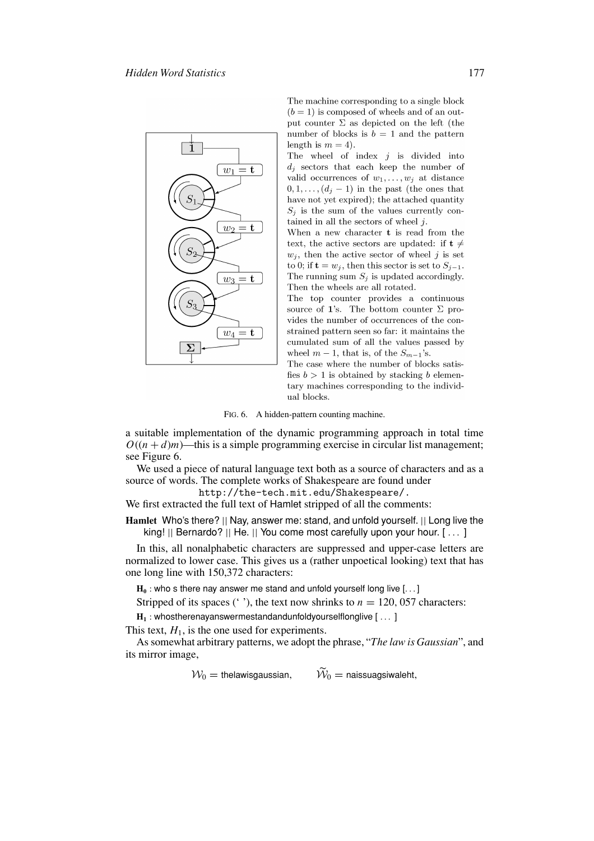

The machine corresponding to a single block  $(b = 1)$  is composed of wheels and of an output counter  $\Sigma$  as depicted on the left (the number of blocks is  $b = 1$  and the pattern length is  $m = 4$ .

The wheel of index  $j$  is divided into  $d_j$  sectors that each keep the number of valid occurrences of  $w_1, \ldots, w_j$  at distance  $0, 1, \ldots, (d_i - 1)$  in the past (the ones that have not yet expired); the attached quantity  $S_i$  is the sum of the values currently contained in all the sectors of wheel  $j$ .

When a new character **t** is read from the text, the active sectors are updated: if  $t \neq$  $w_i$ , then the active sector of wheel j is set to 0; if  $\mathbf{t} = w_i$ , then this sector is set to  $S_{i-1}$ . The running sum  $S_i$  is updated accordingly. Then the wheels are all rotated.

The top counter provides a continuous source of 1's. The bottom counter  $\Sigma$  provides the number of occurrences of the constrained pattern seen so far: it maintains the cumulated sum of all the values passed by wheel  $m-1$ , that is, of the  $S_{m-1}$ 's.

The case where the number of blocks satisfies  $b > 1$  is obtained by stacking b elementary machines corresponding to the individual blocks.

FIG. 6. A hidden-pattern counting machine.

a suitable implementation of the dynamic programming approach in total time  $O((n+d)m)$ —this is a simple programming exercise in circular list management; see Figure 6.

We used a piece of natural language text both as a source of characters and as a source of words. The complete works of Shakespeare are found under

http://the-tech.mit.edu/Shakespeare/.

We first extracted the full text of Hamlet stripped of all the comments:

**Hamlet** Who's there? || Nay, answer me: stand, and unfold yourself. || Long live the king! || Bernardo? || He. || You come most carefully upon your hour. [...]

In this, all nonalphabetic characters are suppressed and upper-case letters are normalized to lower case. This gives us a (rather unpoetical looking) text that has one long line with 150,372 characters:

 $H_0$ : who s there nay answer me stand and unfold yourself long live  $[...]$ 

Stripped of its spaces (''), the text now shrinks to  $n = 120,057$  characters:

**H1** : whostherenayanswermestandandunfoldyourselflonglive [ ... ]

This text,  $H_1$ , is the one used for experiments.

As somewhat arbitrary patterns, we adopt the phrase, "*The law is Gaussian*", and its mirror image,

 $\mathcal{W}_0 =$  thelawisgaussian,  $\widetilde{\mathcal{W}}_0 =$  naissuagsiwaleht,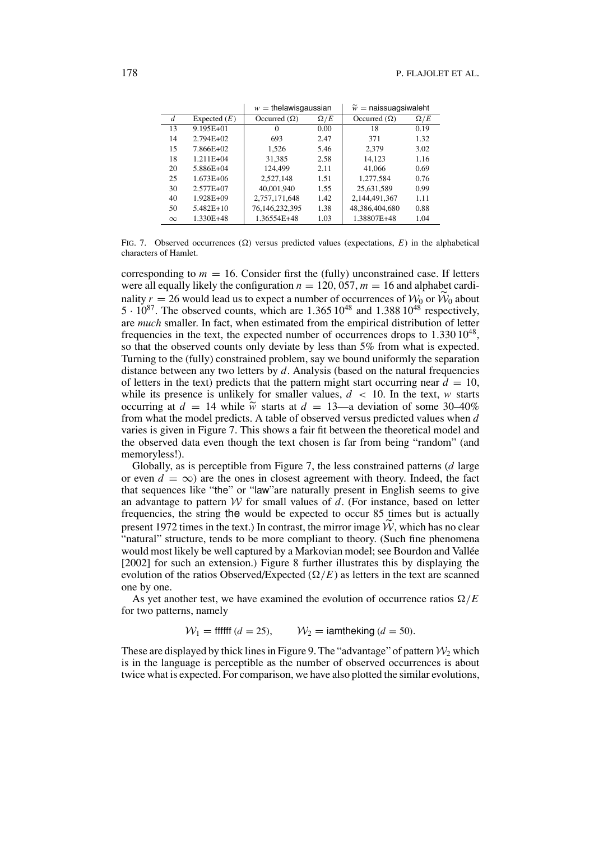|          |                | $w =$ the lawisgaussian |            | $\widetilde{w}$ = naissuagsiwaleht |            |
|----------|----------------|-------------------------|------------|------------------------------------|------------|
| d        | Expected $(E)$ | Occurred $(\Omega)$     | $\Omega/E$ | Occurred $(\Omega)$                | $\Omega/E$ |
| 13       | 9.195E+01      | $\Omega$                | 0.00       | 18                                 | 0.19       |
| 14       | 2.794E+02      | 693                     | 2.47       | 371                                | 1.32       |
| 15       | 7.866E+02      | 1.526                   | 5.46       | 2.379                              | 3.02       |
| 18       | $1.211E + 04$  | 31,385                  | 2.58       | 14,123                             | 1.16       |
| 20       | 5.886E+04      | 124.499                 | 2.11       | 41,066                             | 0.69       |
| 25       | $1.673E + 06$  | 2,527,148               | 1.51       | 1,277,584                          | 0.76       |
| 30       | 2.577E+07      | 40,001,940              | 1.55       | 25,631,589                         | 0.99       |
| 40       | 1.928E+09      | 2,757,171,648           | 1.42       | 2,144,491,367                      | 1.11       |
| 50       | 5.482E+10      | 76,146,232,395          | 1.38       | 48,386,404,680                     | 0.88       |
| $\infty$ | 1.330E+48      | 1.36554E+48             | 1.03       | 1.38807E+48                        | 1.04       |

FIG. 7. Observed occurrences  $(\Omega)$  versus predicted values (expectations, E) in the alphabetical characters of Hamlet.

corresponding to  $m = 16$ . Consider first the (fully) unconstrained case. If letters were all equally likely the configuration  $n = 120, 057, m = 16$  and alphabet cardinality  $r = 26$  would lead us to expect a number of occurrences of  $\mathcal{W}_0$  or  $\widetilde{\mathcal{W}}_0$  about  $5 \cdot 10^{87}$ . The observed counts, which are 1.365 10<sup>48</sup> and 1.388 10<sup>48</sup> respectively, are *much* smaller. In fact, when estimated from the empirical distribution of letter frequencies in the text, the expected number of occurrences drops to  $1.330\,10^{48}$ , so that the observed counts only deviate by less than 5% from what is expected. Turning to the (fully) constrained problem, say we bound uniformly the separation distance between any two letters by *d*. Analysis (based on the natural frequencies of letters in the text) predicts that the pattern might start occurring near  $\bar{d} = 10$ , while its presence is unlikely for smaller values,  $d < 10$ . In the text, *w* starts occurring at  $d = 14$  while  $\tilde{w}$  starts at  $d = 13$ —a deviation of some 30–40% from what the model predicts. A table of observed versus predicted values when *d* varies is given in Figure 7. This shows a fair fit between the theoretical model and the observed data even though the text chosen is far from being "random" (and memoryless!).

Globally, as is perceptible from Figure 7, the less constrained patterns (*d* large or even  $d = \infty$ ) are the ones in closest agreement with theory. Indeed, the fact that sequences like "the" or "law"are naturally present in English seems to give an advantage to pattern  $W$  for small values of  $d$ . (For instance, based on letter frequencies, the string the would be expected to occur 85 times but is actually present 1972 times in the text.) In contrast, the mirror image  $\dot{W}$ , which has no clear "natural" structure, tends to be more compliant to theory. (Such fine phenomena would most likely be well captured by a Markovian model; see Bourdon and Vallée [2002] for such an extension.) Figure 8 further illustrates this by displaying the evolution of the ratios Observed/Expected  $(\Omega/E)$  as letters in the text are scanned one by one.

As yet another test, we have examined the evolution of occurrence ratios  $\Omega/E$ for two patterns, namely

 $W_1$  = ffffff (*d* = 25),  $W_2$  = iamtheking (*d* = 50).

These are displayed by thick lines in Figure 9. The "advantage" of pattern  $W_2$  which is in the language is perceptible as the number of observed occurrences is about twice what is expected. For comparison, we have also plotted the similar evolutions,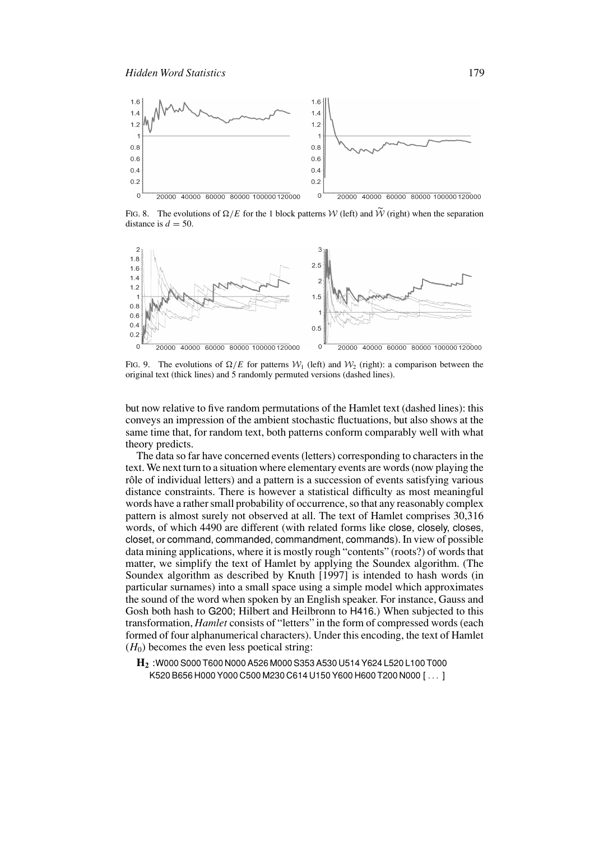

FIG. 8. The evolutions of  $\Omega/E$  for the 1 block patterns W (left) and  $\hat{W}$  (right) when the separation distance is  $d = 50$ .



FIG. 9. The evolutions of  $\Omega/E$  for patterns  $W_1$  (left) and  $W_2$  (right): a comparison between the original text (thick lines) and 5 randomly permuted versions (dashed lines).

but now relative to five random permutations of the Hamlet text (dashed lines): this conveys an impression of the ambient stochastic fluctuations, but also shows at the same time that, for random text, both patterns conform comparably well with what theory predicts.

The data so far have concerned events (letters) corresponding to characters in the text. We next turn to a situation where elementary events are words (now playing the rôle of individual letters) and a pattern is a succession of events satisfying various distance constraints. There is however a statistical difficulty as most meaningful words have a rather small probability of occurrence, so that any reasonably complex pattern is almost surely not observed at all. The text of Hamlet comprises 30,316 words, of which 4490 are different (with related forms like close, closely, closes, closet, or command, commanded, commandment, commands). In view of possible data mining applications, where it is mostly rough "contents" (roots?) of words that matter, we simplify the text of Hamlet by applying the Soundex algorithm. (The Soundex algorithm as described by Knuth [1997] is intended to hash words (in particular surnames) into a small space using a simple model which approximates the sound of the word when spoken by an English speaker. For instance, Gauss and Gosh both hash to G200; Hilbert and Heilbronn to H416.) When subjected to this transformation, *Hamlet* consists of "letters" in the form of compressed words (each formed of four alphanumerical characters). Under this encoding, the text of Hamlet  $(H<sub>0</sub>)$  becomes the even less poetical string:

**H2** :W000 S000 T600 N000 A526 M000 S353 A530 U514 Y624 L520 L100 T000 K520 B656 H000 Y000 C500 M230 C614 U150 Y600 H600 T200 N000 [ ... ]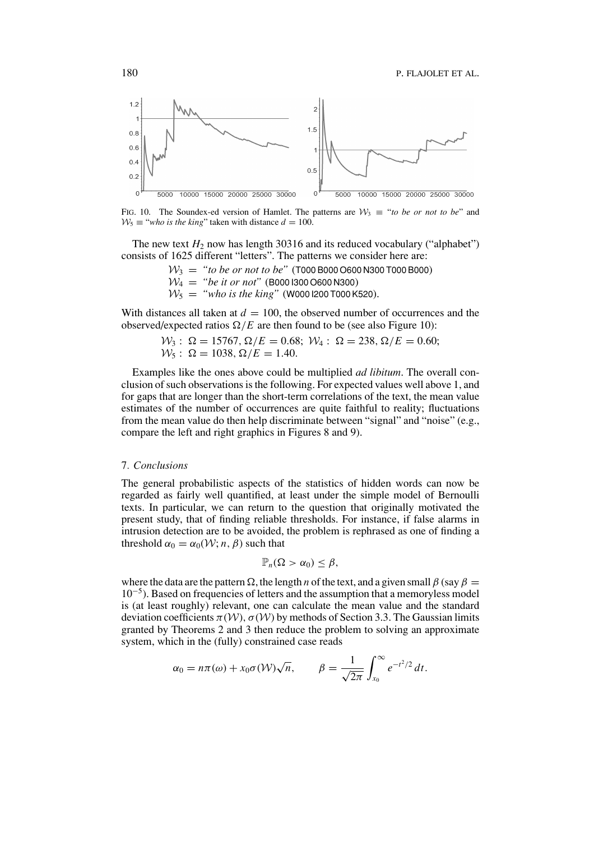

FIG. 10. The Soundex-ed version of Hamlet. The patterns are  $W_3 \equiv "to be or not to be"$  and  $W_5 \equiv$  "*who is the king*" taken with distance  $d = 100$ .

The new text  $H_2$  now has length 30316 and its reduced vocabulary ("alphabet") consists of 1625 different "letters". The patterns we consider here are:

> $W_3 = "to be or not to be" (T000 B000 O600 N300 T000 B000)$  $W_4 = "be it or not"$  (B000 I300 O600 N300)  $W_5 = "who is the king" (W0001200 T000 K520).$

With distances all taken at  $d = 100$ , the observed number of occurrences and the observed/expected ratios  $\Omega/E$  are then found to be (see also Figure 10):

$$
W_3
$$
:  $\Omega = 15767$ ,  $\Omega/E = 0.68$ ;  $W_4$ :  $\Omega = 238$ ,  $\Omega/E = 0.60$ ;  
 $W_5$ :  $\Omega = 1038$ ,  $\Omega/E = 1.40$ .

Examples like the ones above could be multiplied *ad libitum*. The overall conclusion of such observations is the following. For expected values well above 1, and for gaps that are longer than the short-term correlations of the text, the mean value estimates of the number of occurrences are quite faithful to reality; fluctuations from the mean value do then help discriminate between "signal" and "noise" (e.g., compare the left and right graphics in Figures 8 and 9).

## 7*. Conclusions*

The general probabilistic aspects of the statistics of hidden words can now be regarded as fairly well quantified, at least under the simple model of Bernoulli texts. In particular, we can return to the question that originally motivated the present study, that of finding reliable thresholds. For instance, if false alarms in intrusion detection are to be avoided, the problem is rephrased as one of finding a threshold  $\alpha_0 = \alpha_0(\mathcal{W}; n, \beta)$  such that

$$
\mathbb{P}_n(\Omega > \alpha_0) \leq \beta,
$$

where the data are the pattern  $\Omega$ , the length *n* of the text, and a given small  $\beta$  (say  $\beta =$ 10<sup>−</sup>5). Based on frequencies of letters and the assumption that a memoryless model is (at least roughly) relevant, one can calculate the mean value and the standard deviation coefficients  $\pi(\mathcal{W})$ ,  $\sigma(\mathcal{W})$  by methods of Section 3.3. The Gaussian limits granted by Theorems 2 and 3 then reduce the problem to solving an approximate system, which in the (fully) constrained case reads

$$
\alpha_0 = n\pi(\omega) + x_0\sigma(\mathcal{W})\sqrt{n}, \qquad \beta = \frac{1}{\sqrt{2\pi}}\int_{x_0}^{\infty}e^{-t^2/2}\,dt.
$$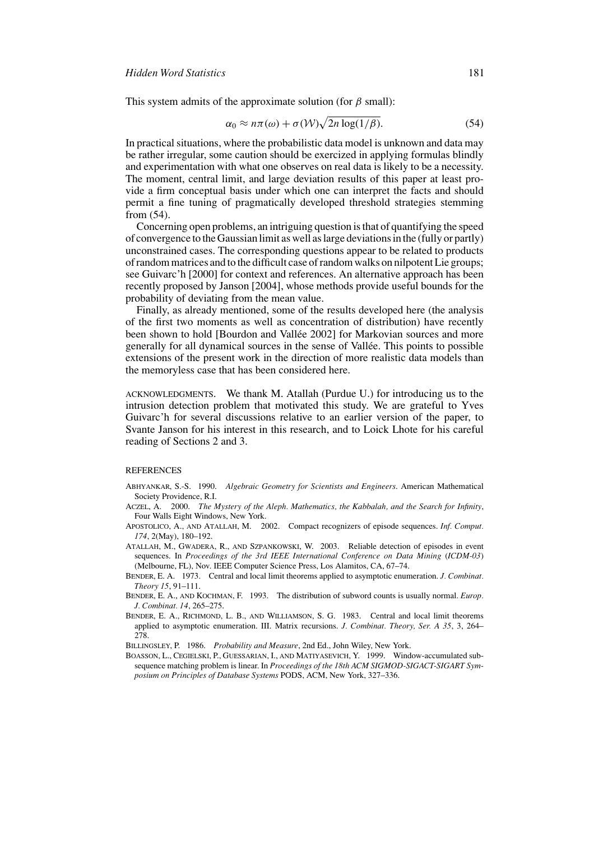This system admits of the approximate solution (for  $\beta$  small):

$$
\alpha_0 \approx n\pi(\omega) + \sigma(\mathcal{W})\sqrt{2n\log(1/\beta)}.
$$
\n(54)

In practical situations, where the probabilistic data model is unknown and data may be rather irregular, some caution should be exercized in applying formulas blindly and experimentation with what one observes on real data is likely to be a necessity. The moment, central limit, and large deviation results of this paper at least provide a firm conceptual basis under which one can interpret the facts and should permit a fine tuning of pragmatically developed threshold strategies stemming from (54).

Concerning open problems, an intriguing question is that of quantifying the speed of convergence to the Gaussian limit as well as large deviations in the (fully or partly) unconstrained cases. The corresponding questions appear to be related to products of random matrices and to the difficult case of random walks on nilpotent Lie groups; see Guivarc'h [2000] for context and references. An alternative approach has been recently proposed by Janson [2004], whose methods provide useful bounds for the probability of deviating from the mean value.

Finally, as already mentioned, some of the results developed here (the analysis of the first two moments as well as concentration of distribution) have recently been shown to hold [Bourdon and Vallée 2002] for Markovian sources and more generally for all dynamical sources in the sense of Vall´ee. This points to possible extensions of the present work in the direction of more realistic data models than the memoryless case that has been considered here.

ACKNOWLEDGMENTS. We thank M. Atallah (Purdue U.) for introducing us to the intrusion detection problem that motivated this study. We are grateful to Yves Guivarc'h for several discussions relative to an earlier version of the paper, to Svante Janson for his interest in this research, and to Loick Lhote for his careful reading of Sections 2 and 3.

#### REFERENCES

- ABHYANKAR, S.-S. 1990. *Algebraic Geometry for Scientists and Engineers*. American Mathematical Society Providence, R.I.
- ACZEL, A. 2000. *The Mystery of the Aleph. Mathematics, the Kabbalah, and the Search for Infinity*, Four Walls Eight Windows, New York.
- APOSTOLICO, A., AND ATALLAH, M. 2002. Compact recognizers of episode sequences. *Inf. Comput. 174*, 2(May), 180–192.
- ATALLAH, M., GWADERA, R., AND SZPANKOWSKI, W. 2003. Reliable detection of episodes in event sequences. In *Proceedings of the 3rd IEEE International Conference on Data Mining* (*ICDM-03*) (Melbourne, FL), Nov. IEEE Computer Science Press, Los Alamitos, CA, 67–74.
- BENDER, E. A. 1973. Central and local limit theorems applied to asymptotic enumeration. *J. Combinat. Theory 15*, 91–111.

BENDER, E. A., AND KOCHMAN, F. 1993. The distribution of subword counts is usually normal. *Europ. J. Combinat. 14*, 265–275.

BENDER, E. A., RICHMOND, L. B., AND WILLIAMSON, S. G. 1983. Central and local limit theorems applied to asymptotic enumeration. III. Matrix recursions. *J. Combinat. Theory, Ser. A 35*, 3, 264– 278.

BILLINGSLEY, P. 1986. *Probability and Measure*, 2nd Ed., John Wiley, New York.

BOASSON, L., CEGIELSKI, P., GUESSARIAN, I., AND MATIYASEVICH, Y. 1999. Window-accumulated subsequence matching problem is linear. In *Proceedings of the 18th ACM SIGMOD-SIGACT-SIGART Symposium on Principles of Database Systems* PODS, ACM, New York, 327–336.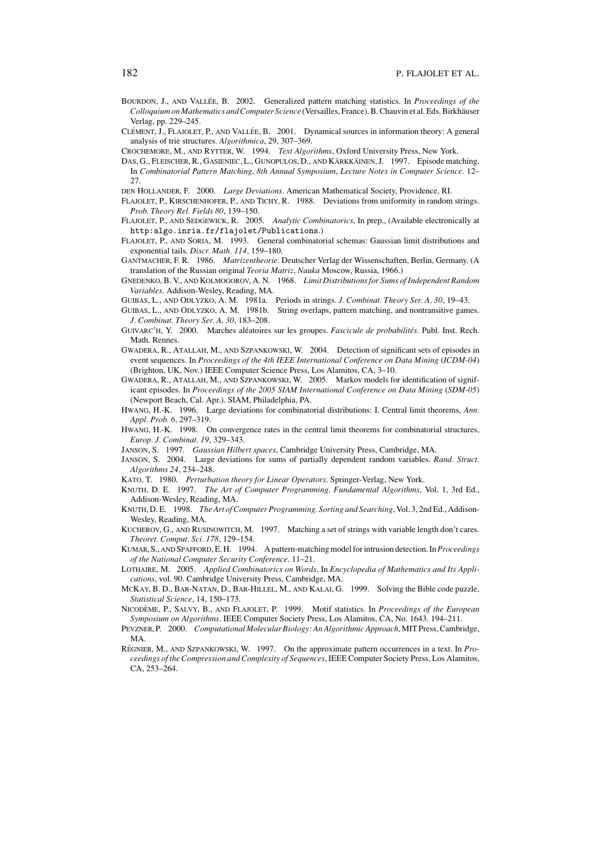- BOURDON, J., AND VALLÉE, B. 2002. Generalized pattern matching statistics. In *Proceedings of the Colloquium on Mathematics and Computer Science* (Versailles, France). B. Chauvin et al. Eds. Birkhäuser Verlag, pp. 229–245.
- CLÉMENT, J., FLAJOLET, P., AND VALLÉE, B. 2001. Dynamical sources in information theory: A general analysis of trie structures. *Algorithmica*, 29, 307–369.
- CROCHEMORE, M., AND RYTTER, W. 1994. *Text Algorithms*, Oxford University Press, New York.
- DAS, G., FLEISCHER, R., GASIENIEC, L., GUNOPULOS, D., AND KÄRKKÄINEN, J. 1997. Episode matching, In *Combinatorial Pattern Matching, 8th Annual Symposium*, *Lecture Notes in Computer Science*. 12– 27.
- DEN HOLLANDER, F. 2000. *Large Deviations*. American Mathematical Society, Providence, RI.
- FLAJOLET, P., KIRSCHENHOFER, P., AND TICHY, R. 1988. Deviations from uniformity in random strings. *Prob. Theory Rel. Fields 80*, 139–150.
- FLAJOLET, P., AND SEDGEWICK, R. 2005. *Analytic Combinatorics*, In prep., (Available electronically at http:algo.inria.fr/flajolet/Publications.)
- FLAJOLET, P., AND SORIA, M. 1993. General combinatorial schemas: Gaussian limit distributions and exponential tails. *Discr. Math. 114*, 159–180.
- GANTMACHER, F. R. 1986. *Matrizentheorie*. Deutscher Verlag der Wissenschaften, Berlin, Germany. (A translation of the Russian original *Teoria Matriz*, *Nauka* Moscow, Russia, 1966.)
- GNEDENKO, B. V., AND KOLMOGOROV, A. N. 1968. *Limit Distributions for Sums of Independent Random Variables*. Addison-Wesley, Reading, MA.
- GUIBAS, L., AND ODLYZKO, A. M. 1981a. Periods in strings. *J. Combinat. Theory Ser. A, 30*, 19–43.
- GUIBAS, L., AND ODLYZKO, A. M. 1981b. String overlaps, pattern matching, and nontransitive games. *J. Combinat. Theory Ser. A, 30*, 183–208.
- GUIVARC'H, Y. 2000. Marches aléatoires sur les groupes. *Fascicule de probabilités*. Publ. Inst. Rech. Math. Rennes.
- GWADERA, R., ATALLAH, M., AND SZPANKOWSKI, W. 2004. Detection of significant sets of episodes in event sequences. In *Proceedings of the 4th IEEE International Conference on Data Mining* (*ICDM-04*) (Brighton, UK, Nov.) IEEE Computer Science Press, Los Alamitos, CA, 3–10.
- GWADERA, R., ATALLAH, M., AND SZPANKOWSKI, W. 2005. Markov models for identification of significant episodes. In *Proceedings of the 2005 SIAM International Conference on Data Mining* (*SDM-05*) (Newport Beach, Cal. Apr.). SIAM, Philadelphia, PA.
- HWANG, H.-K. 1996. Large deviations for combinatorial distributions: I. Central limit theorems, *Ann. Appl. Prob. 6*, 297–319.
- HWANG, H.-K. 1998. On convergence rates in the central limit theorems for combinatorial structures, *Europ. J. Combinat. 19*, 329–343.
- JANSON, S. 1997. *Gaussian Hilbert spaces*, Cambridge University Press, Cambridge, MA.
- JANSON, S. 2004. Large deviations for sums of partially dependent random variables. *Rand. Struct. Algorithms 24*, 234–248.
- KATO, T. 1980. *Perturbation theory for Linear Operators*. Springer-Verlag, New York.
- KNUTH, D. E. 1997. *The Art of Computer Programming, Fundamental Algorithms*, Vol. 1, 3rd Ed., Addison-Wesley, Reading, MA.
- KNUTH, D. E. 1998. *The Art of Computer Programming. Sorting and Searching*, Vol. 3, 2nd Ed., Addison-Wesley, Reading, MA.
- KUCHEROV, G., AND RUSINOWITCH, M. 1997. Matching a set of strings with variable length don't cares. *Theoret. Comput. Sci. 178*, 129–154.
- KUMAR, S., AND SPAFFORD, E. H. 1994. A pattern-matching model for intrusion detection. In*Proceedings of the National Computer Security Conference*. 11–21.
- LOTHAIRE, M. 2005. *Applied Combinatorics on Words*. In *Encyclopedia of Mathematics and Its Applications*, vol. 90. Cambridge University Press, Cambridge, MA.
- MCKAY, B. D., BAR-NATAN, D., BAR-HILLEL, M., AND KALAI, G. 1999. Solving the Bible code puzzle, *Statistical Science*, 14, 150–173.
- NICODÈME, P., SALVY, B., AND FLAJOLET, P. 1999. Motif statistics. In *Proceedings of the European Symposium on Algorithms*. IEEE Computer Society Press, Los Alamitos, CA, No. 1643. 194–211.
- PEVZNER, P. 2000. *Computational Molecular Biology: An Algorithmic Approach*, MIT Press, Cambridge, MA.
- RÉGNIER, M., AND SZPANKOWSKI, W. 1997. On the approximate pattern occurrences in a text. In *Proceedings of the Compression and Complexity of Sequences*, IEEE Computer Society Press, Los Alamitos, CA, 253–264.